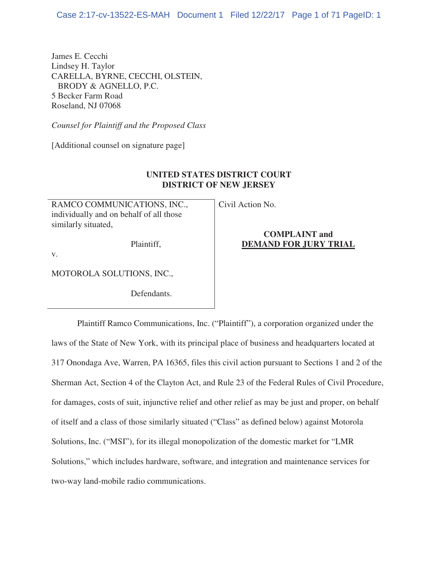James E. Cecchi Lindsey H. Taylor CARELLA, BYRNE, CECCHI, OLSTEIN, BRODY & AGNELLO, P.C. 5 Becker Farm Road Roseland, NJ 07068

*Counsel for Plaintiff and the Proposed Class* 

[Additional counsel on signature page]

# **UNITED STATES DISTRICT COURT DISTRICT OF NEW JERSEY**

RAMCO COMMUNICATIONS, INC., individually and on behalf of all those similarly situated,

Plaintiff,

Civil Action No.

## **COMPLAINT and DEMAND FOR JURY TRIAL**

v.

MOTOROLA SOLUTIONS, INC.,

Defendants.

Plaintiff Ramco Communications, Inc. ("Plaintiff"), a corporation organized under the laws of the State of New York, with its principal place of business and headquarters located at 317 Onondaga Ave, Warren, PA 16365, files this civil action pursuant to Sections 1 and 2 of the Sherman Act, Section 4 of the Clayton Act, and Rule 23 of the Federal Rules of Civil Procedure, for damages, costs of suit, injunctive relief and other relief as may be just and proper, on behalf of itself and a class of those similarly situated ("Class" as defined below) against Motorola Solutions, Inc. ("MSI"), for its illegal monopolization of the domestic market for "LMR Solutions," which includes hardware, software, and integration and maintenance services for two-way land-mobile radio communications.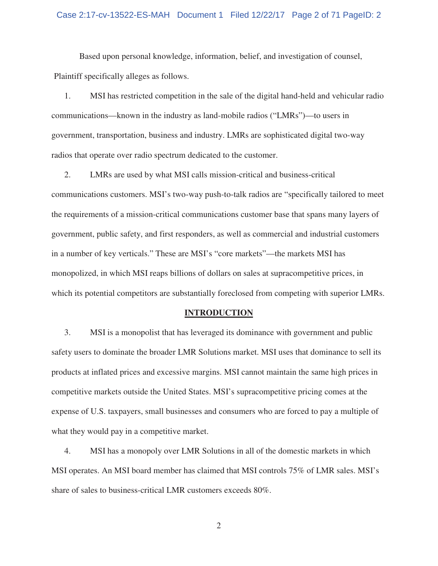## Case 2:17-cv-13522-ES-MAH Document 1 Filed 12/22/17 Page 2 of 71 PageID: 2

 Based upon personal knowledge, information, belief, and investigation of counsel, Plaintiff specifically alleges as follows.

1. MSI has restricted competition in the sale of the digital hand-held and vehicular radio communications—known in the industry as land-mobile radios ("LMRs")—to users in government, transportation, business and industry. LMRs are sophisticated digital two-way radios that operate over radio spectrum dedicated to the customer.

2. LMRs are used by what MSI calls mission-critical and business-critical communications customers. MSI's two-way push-to-talk radios are "specifically tailored to meet the requirements of a mission-critical communications customer base that spans many layers of government, public safety, and first responders, as well as commercial and industrial customers in a number of key verticals." These are MSI's "core markets"—the markets MSI has monopolized, in which MSI reaps billions of dollars on sales at supracompetitive prices, in which its potential competitors are substantially foreclosed from competing with superior LMRs.

#### **INTRODUCTION**

3. MSI is a monopolist that has leveraged its dominance with government and public safety users to dominate the broader LMR Solutions market. MSI uses that dominance to sell its products at inflated prices and excessive margins. MSI cannot maintain the same high prices in competitive markets outside the United States. MSI's supracompetitive pricing comes at the expense of U.S. taxpayers, small businesses and consumers who are forced to pay a multiple of what they would pay in a competitive market.

4. MSI has a monopoly over LMR Solutions in all of the domestic markets in which MSI operates. An MSI board member has claimed that MSI controls 75% of LMR sales. MSI's share of sales to business-critical LMR customers exceeds 80%.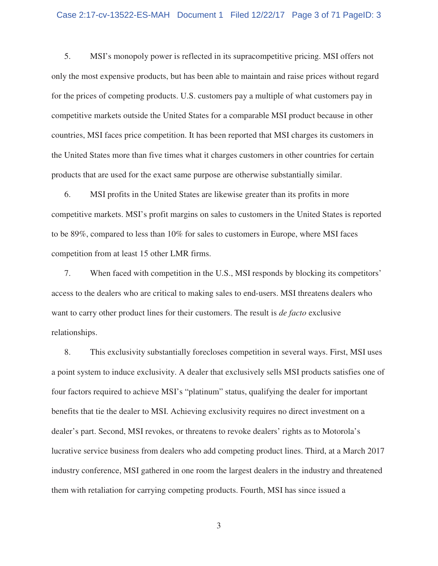5. MSI's monopoly power is reflected in its supracompetitive pricing. MSI offers not only the most expensive products, but has been able to maintain and raise prices without regard for the prices of competing products. U.S. customers pay a multiple of what customers pay in competitive markets outside the United States for a comparable MSI product because in other countries, MSI faces price competition. It has been reported that MSI charges its customers in the United States more than five times what it charges customers in other countries for certain products that are used for the exact same purpose are otherwise substantially similar.

6. MSI profits in the United States are likewise greater than its profits in more competitive markets. MSI's profit margins on sales to customers in the United States is reported to be 89%, compared to less than 10% for sales to customers in Europe, where MSI faces competition from at least 15 other LMR firms.

7. When faced with competition in the U.S., MSI responds by blocking its competitors' access to the dealers who are critical to making sales to end-users. MSI threatens dealers who want to carry other product lines for their customers. The result is *de facto* exclusive relationships.

8. This exclusivity substantially forecloses competition in several ways. First, MSI uses a point system to induce exclusivity. A dealer that exclusively sells MSI products satisfies one of four factors required to achieve MSI's "platinum" status, qualifying the dealer for important benefits that tie the dealer to MSI. Achieving exclusivity requires no direct investment on a dealer's part. Second, MSI revokes, or threatens to revoke dealers' rights as to Motorola's lucrative service business from dealers who add competing product lines. Third, at a March 2017 industry conference, MSI gathered in one room the largest dealers in the industry and threatened them with retaliation for carrying competing products. Fourth, MSI has since issued a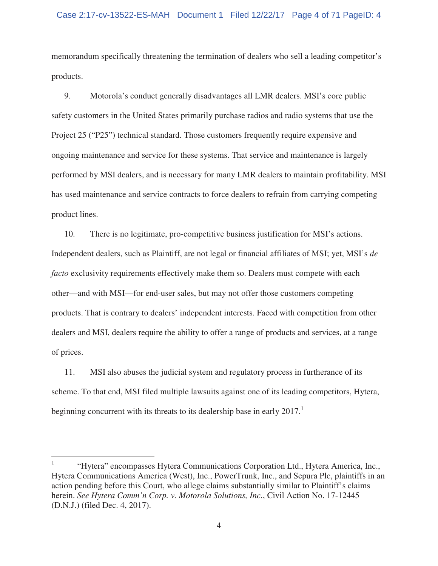## Case 2:17-cv-13522-ES-MAH Document 1 Filed 12/22/17 Page 4 of 71 PageID: 4

memorandum specifically threatening the termination of dealers who sell a leading competitor's products.

9. Motorola's conduct generally disadvantages all LMR dealers. MSI's core public safety customers in the United States primarily purchase radios and radio systems that use the Project 25 ("P25") technical standard. Those customers frequently require expensive and ongoing maintenance and service for these systems. That service and maintenance is largely performed by MSI dealers, and is necessary for many LMR dealers to maintain profitability. MSI has used maintenance and service contracts to force dealers to refrain from carrying competing product lines.

10. There is no legitimate, pro-competitive business justification for MSI's actions. Independent dealers, such as Plaintiff, are not legal or financial affiliates of MSI; yet, MSI's *de facto* exclusivity requirements effectively make them so. Dealers must compete with each other—and with MSI—for end-user sales, but may not offer those customers competing products. That is contrary to dealers' independent interests. Faced with competition from other dealers and MSI, dealers require the ability to offer a range of products and services, at a range of prices.

11. MSI also abuses the judicial system and regulatory process in furtherance of its scheme. To that end, MSI filed multiple lawsuits against one of its leading competitors, Hytera, beginning concurrent with its threats to its dealership base in early 2017.<sup>1</sup>

 $\overline{a}$ 

<sup>1</sup> "Hytera" encompasses Hytera Communications Corporation Ltd., Hytera America, Inc., Hytera Communications America (West), Inc., PowerTrunk, Inc., and Sepura Plc, plaintiffs in an action pending before this Court, who allege claims substantially similar to Plaintiff's claims herein. *See Hytera Comm'n Corp. v. Motorola Solutions, Inc.*, Civil Action No. 17-12445 (D.N.J.) (filed Dec. 4, 2017).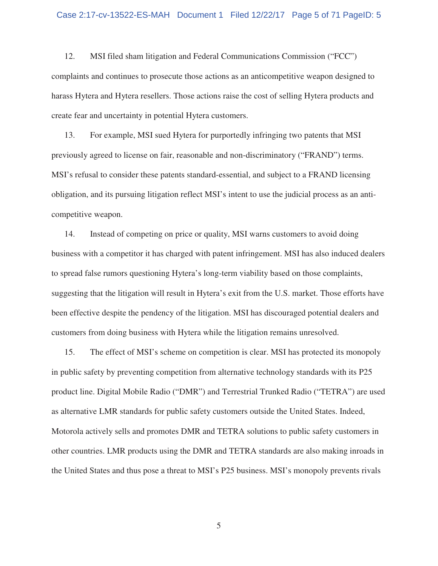12. MSI filed sham litigation and Federal Communications Commission ("FCC") complaints and continues to prosecute those actions as an anticompetitive weapon designed to harass Hytera and Hytera resellers. Those actions raise the cost of selling Hytera products and create fear and uncertainty in potential Hytera customers.

13. For example, MSI sued Hytera for purportedly infringing two patents that MSI previously agreed to license on fair, reasonable and non-discriminatory ("FRAND") terms. MSI's refusal to consider these patents standard-essential, and subject to a FRAND licensing obligation, and its pursuing litigation reflect MSI's intent to use the judicial process as an anticompetitive weapon.

14. Instead of competing on price or quality, MSI warns customers to avoid doing business with a competitor it has charged with patent infringement. MSI has also induced dealers to spread false rumors questioning Hytera's long-term viability based on those complaints, suggesting that the litigation will result in Hytera's exit from the U.S. market. Those efforts have been effective despite the pendency of the litigation. MSI has discouraged potential dealers and customers from doing business with Hytera while the litigation remains unresolved.

15. The effect of MSI's scheme on competition is clear. MSI has protected its monopoly in public safety by preventing competition from alternative technology standards with its P25 product line. Digital Mobile Radio ("DMR") and Terrestrial Trunked Radio ("TETRA") are used as alternative LMR standards for public safety customers outside the United States. Indeed, Motorola actively sells and promotes DMR and TETRA solutions to public safety customers in other countries. LMR products using the DMR and TETRA standards are also making inroads in the United States and thus pose a threat to MSI's P25 business. MSI's monopoly prevents rivals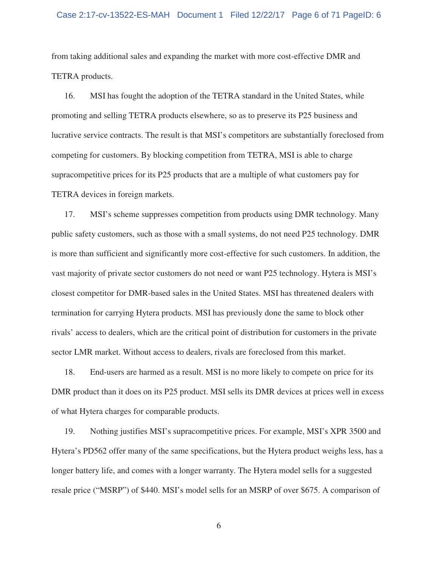## Case 2:17-cv-13522-ES-MAH Document 1 Filed 12/22/17 Page 6 of 71 PageID: 6

from taking additional sales and expanding the market with more cost-effective DMR and TETRA products.

16. MSI has fought the adoption of the TETRA standard in the United States, while promoting and selling TETRA products elsewhere, so as to preserve its P25 business and lucrative service contracts. The result is that MSI's competitors are substantially foreclosed from competing for customers. By blocking competition from TETRA, MSI is able to charge supracompetitive prices for its P25 products that are a multiple of what customers pay for TETRA devices in foreign markets.

17. MSI's scheme suppresses competition from products using DMR technology. Many public safety customers, such as those with a small systems, do not need P25 technology. DMR is more than sufficient and significantly more cost-effective for such customers. In addition, the vast majority of private sector customers do not need or want P25 technology. Hytera is MSI's closest competitor for DMR-based sales in the United States. MSI has threatened dealers with termination for carrying Hytera products. MSI has previously done the same to block other rivals' access to dealers, which are the critical point of distribution for customers in the private sector LMR market. Without access to dealers, rivals are foreclosed from this market.

18. End-users are harmed as a result. MSI is no more likely to compete on price for its DMR product than it does on its P25 product. MSI sells its DMR devices at prices well in excess of what Hytera charges for comparable products.

19. Nothing justifies MSI's supracompetitive prices. For example, MSI's XPR 3500 and Hytera's PD562 offer many of the same specifications, but the Hytera product weighs less, has a longer battery life, and comes with a longer warranty. The Hytera model sells for a suggested resale price ("MSRP") of \$440. MSI's model sells for an MSRP of over \$675. A comparison of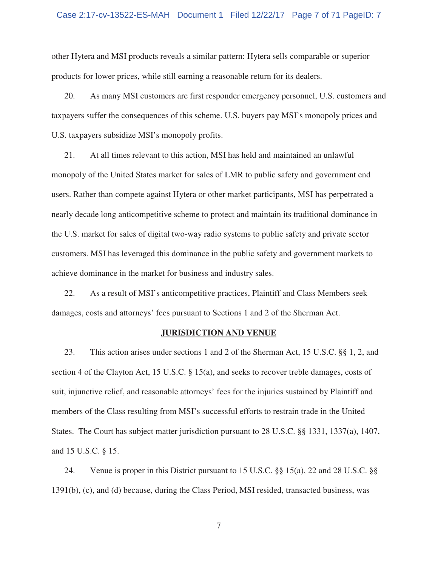## Case 2:17-cv-13522-ES-MAH Document 1 Filed 12/22/17 Page 7 of 71 PageID: 7

other Hytera and MSI products reveals a similar pattern: Hytera sells comparable or superior products for lower prices, while still earning a reasonable return for its dealers.

20. As many MSI customers are first responder emergency personnel, U.S. customers and taxpayers suffer the consequences of this scheme. U.S. buyers pay MSI's monopoly prices and U.S. taxpayers subsidize MSI's monopoly profits.

21. At all times relevant to this action, MSI has held and maintained an unlawful monopoly of the United States market for sales of LMR to public safety and government end users. Rather than compete against Hytera or other market participants, MSI has perpetrated a nearly decade long anticompetitive scheme to protect and maintain its traditional dominance in the U.S. market for sales of digital two-way radio systems to public safety and private sector customers. MSI has leveraged this dominance in the public safety and government markets to achieve dominance in the market for business and industry sales.

22. As a result of MSI's anticompetitive practices, Plaintiff and Class Members seek damages, costs and attorneys' fees pursuant to Sections 1 and 2 of the Sherman Act.

## **JURISDICTION AND VENUE**

23. This action arises under sections 1 and 2 of the Sherman Act, 15 U.S.C. §§ 1, 2, and section 4 of the Clayton Act, 15 U.S.C. § 15(a), and seeks to recover treble damages, costs of suit, injunctive relief, and reasonable attorneys' fees for the injuries sustained by Plaintiff and members of the Class resulting from MSI's successful efforts to restrain trade in the United States. The Court has subject matter jurisdiction pursuant to 28 U.S.C. §§ 1331, 1337(a), 1407, and 15 U.S.C. § 15.

24. Venue is proper in this District pursuant to 15 U.S.C. §§ 15(a), 22 and 28 U.S.C. §§ 1391(b), (c), and (d) because, during the Class Period, MSI resided, transacted business, was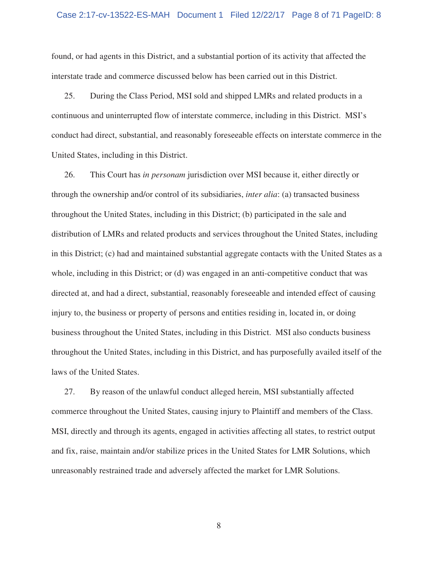## Case 2:17-cv-13522-ES-MAH Document 1 Filed 12/22/17 Page 8 of 71 PageID: 8

found, or had agents in this District, and a substantial portion of its activity that affected the interstate trade and commerce discussed below has been carried out in this District.

25. During the Class Period, MSI sold and shipped LMRs and related products in a continuous and uninterrupted flow of interstate commerce, including in this District. MSI's conduct had direct, substantial, and reasonably foreseeable effects on interstate commerce in the United States, including in this District.

26. This Court has *in personam* jurisdiction over MSI because it, either directly or through the ownership and/or control of its subsidiaries, *inter alia*: (a) transacted business throughout the United States, including in this District; (b) participated in the sale and distribution of LMRs and related products and services throughout the United States, including in this District; (c) had and maintained substantial aggregate contacts with the United States as a whole, including in this District; or (d) was engaged in an anti-competitive conduct that was directed at, and had a direct, substantial, reasonably foreseeable and intended effect of causing injury to, the business or property of persons and entities residing in, located in, or doing business throughout the United States, including in this District. MSI also conducts business throughout the United States, including in this District, and has purposefully availed itself of the laws of the United States.

27. By reason of the unlawful conduct alleged herein, MSI substantially affected commerce throughout the United States, causing injury to Plaintiff and members of the Class. MSI, directly and through its agents, engaged in activities affecting all states, to restrict output and fix, raise, maintain and/or stabilize prices in the United States for LMR Solutions, which unreasonably restrained trade and adversely affected the market for LMR Solutions.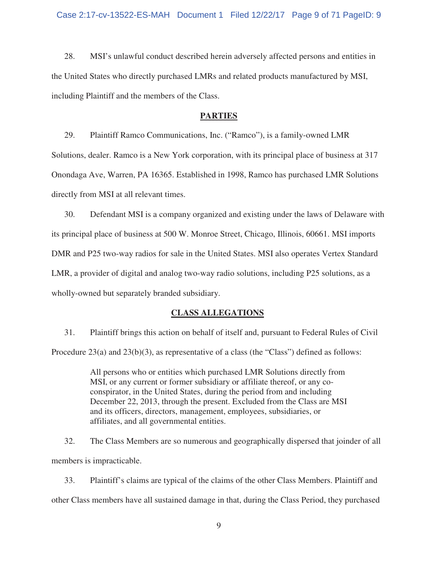28. MSI's unlawful conduct described herein adversely affected persons and entities in the United States who directly purchased LMRs and related products manufactured by MSI, including Plaintiff and the members of the Class.

## **PARTIES**

29. Plaintiff Ramco Communications, Inc. ("Ramco"), is a family-owned LMR Solutions, dealer. Ramco is a New York corporation, with its principal place of business at 317 Onondaga Ave, Warren, PA 16365. Established in 1998, Ramco has purchased LMR Solutions directly from MSI at all relevant times.

30. Defendant MSI is a company organized and existing under the laws of Delaware with its principal place of business at 500 W. Monroe Street, Chicago, Illinois, 60661. MSI imports DMR and P25 two-way radios for sale in the United States. MSI also operates Vertex Standard LMR, a provider of digital and analog two-way radio solutions, including P25 solutions, as a wholly-owned but separately branded subsidiary.

# **CLASS ALLEGATIONS**

31. Plaintiff brings this action on behalf of itself and, pursuant to Federal Rules of Civil Procedure 23(a) and 23(b)(3), as representative of a class (the "Class") defined as follows:

> All persons who or entities which purchased LMR Solutions directly from MSI, or any current or former subsidiary or affiliate thereof, or any coconspirator, in the United States, during the period from and including December 22, 2013, through the present. Excluded from the Class are MSI and its officers, directors, management, employees, subsidiaries, or affiliates, and all governmental entities.

32. The Class Members are so numerous and geographically dispersed that joinder of all members is impracticable.

33. Plaintiff's claims are typical of the claims of the other Class Members. Plaintiff and other Class members have all sustained damage in that, during the Class Period, they purchased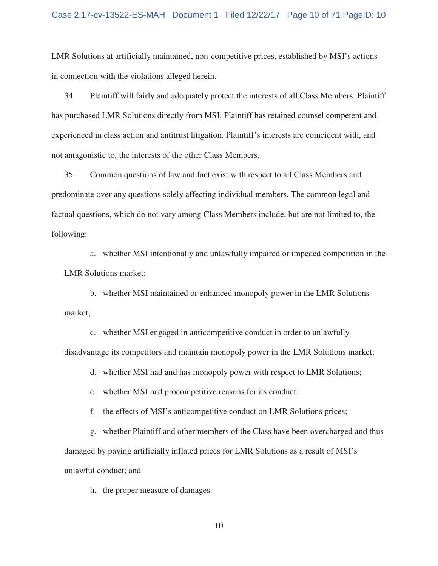LMR Solutions at artificially maintained, non-competitive prices, established by MSI's actions in connection with the violations alleged herein.

34. Plaintiff will fairly and adequately protect the interests of all Class Members. Plaintiff has purchased LMR Solutions directly from MSI. Plaintiff has retained counsel competent and experienced in class action and antitrust litigation. Plaintiff's interests are coincident with, and not antagonistic to, the interests of the other Class Members.

35. Common questions of law and fact exist with respect to all Class Members and predominate over any questions solely affecting individual members. The common legal and factual questions, which do not vary among Class Members include, but are not limited to, the following:

a. whether MSI intentionally and unlawfully impaired or impeded competition in the LMR Solutions market;

b. whether MSI maintained or enhanced monopoly power in the LMR Solutions market;

c. whether MSI engaged in anticompetitive conduct in order to unlawfully disadvantage its competitors and maintain monopoly power in the LMR Solutions market;

d. whether MSI had and has monopoly power with respect to LMR Solutions;

e. whether MSI had procompetitive reasons for its conduct;

f. the effects of MSI's anticompetitive conduct on LMR Solutions prices;

g. whether Plaintiff and other members of the Class have been overcharged and thus damaged by paying artificially inflated prices for LMR Solutions as a result of MSI's unlawful conduct; and

h. the proper measure of damages.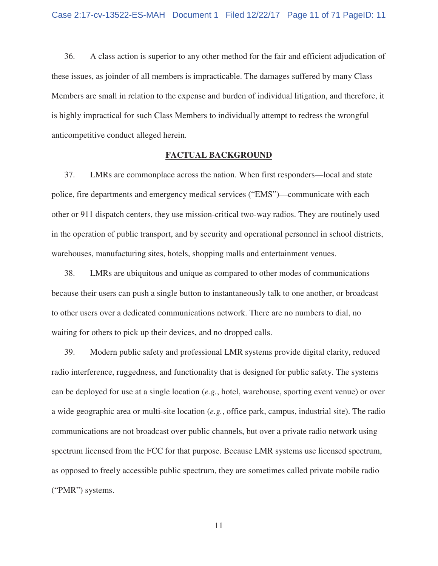36. A class action is superior to any other method for the fair and efficient adjudication of these issues, as joinder of all members is impracticable. The damages suffered by many Class Members are small in relation to the expense and burden of individual litigation, and therefore, it is highly impractical for such Class Members to individually attempt to redress the wrongful anticompetitive conduct alleged herein.

## **FACTUAL BACKGROUND**

37. LMRs are commonplace across the nation. When first responders—local and state police, fire departments and emergency medical services ("EMS")—communicate with each other or 911 dispatch centers, they use mission-critical two-way radios. They are routinely used in the operation of public transport, and by security and operational personnel in school districts, warehouses, manufacturing sites, hotels, shopping malls and entertainment venues.

38. LMRs are ubiquitous and unique as compared to other modes of communications because their users can push a single button to instantaneously talk to one another, or broadcast to other users over a dedicated communications network. There are no numbers to dial, no waiting for others to pick up their devices, and no dropped calls.

39. Modern public safety and professional LMR systems provide digital clarity, reduced radio interference, ruggedness, and functionality that is designed for public safety. The systems can be deployed for use at a single location (*e.g.*, hotel, warehouse, sporting event venue) or over a wide geographic area or multi-site location (*e.g.*, office park, campus, industrial site). The radio communications are not broadcast over public channels, but over a private radio network using spectrum licensed from the FCC for that purpose. Because LMR systems use licensed spectrum, as opposed to freely accessible public spectrum, they are sometimes called private mobile radio ("PMR") systems.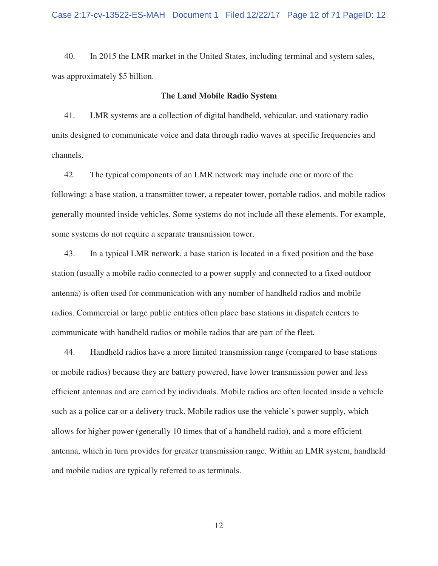40. In 2015 the LMR market in the United States, including terminal and system sales, was approximately \$5 billion.

### **The Land Mobile Radio System**

41. LMR systems are a collection of digital handheld, vehicular, and stationary radio units designed to communicate voice and data through radio waves at specific frequencies and channels.

42. The typical components of an LMR network may include one or more of the following: a base station, a transmitter tower, a repeater tower, portable radios, and mobile radios generally mounted inside vehicles. Some systems do not include all these elements. For example, some systems do not require a separate transmission tower.

43. In a typical LMR network, a base station is located in a fixed position and the base station (usually a mobile radio connected to a power supply and connected to a fixed outdoor antenna) is often used for communication with any number of handheld radios and mobile radios. Commercial or large public entities often place base stations in dispatch centers to communicate with handheld radios or mobile radios that are part of the fleet.

44. Handheld radios have a more limited transmission range (compared to base stations or mobile radios) because they are battery powered, have lower transmission power and less efficient antennas and are carried by individuals. Mobile radios are often located inside a vehicle such as a police car or a delivery truck. Mobile radios use the vehicle's power supply, which allows for higher power (generally 10 times that of a handheld radio), and a more efficient antenna, which in turn provides for greater transmission range. Within an LMR system, handheld and mobile radios are typically referred to as terminals.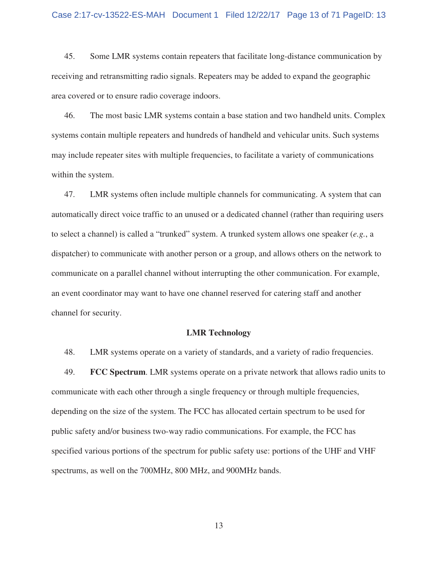45. Some LMR systems contain repeaters that facilitate long-distance communication by receiving and retransmitting radio signals. Repeaters may be added to expand the geographic area covered or to ensure radio coverage indoors.

46. The most basic LMR systems contain a base station and two handheld units. Complex systems contain multiple repeaters and hundreds of handheld and vehicular units. Such systems may include repeater sites with multiple frequencies, to facilitate a variety of communications within the system.

47. LMR systems often include multiple channels for communicating. A system that can automatically direct voice traffic to an unused or a dedicated channel (rather than requiring users to select a channel) is called a "trunked" system. A trunked system allows one speaker (*e.g.*, a dispatcher) to communicate with another person or a group, and allows others on the network to communicate on a parallel channel without interrupting the other communication. For example, an event coordinator may want to have one channel reserved for catering staff and another channel for security.

## **LMR Technology**

48. LMR systems operate on a variety of standards, and a variety of radio frequencies.

49. **FCC Spectrum**. LMR systems operate on a private network that allows radio units to communicate with each other through a single frequency or through multiple frequencies, depending on the size of the system. The FCC has allocated certain spectrum to be used for public safety and/or business two-way radio communications. For example, the FCC has specified various portions of the spectrum for public safety use: portions of the UHF and VHF spectrums, as well on the 700MHz, 800 MHz, and 900MHz bands.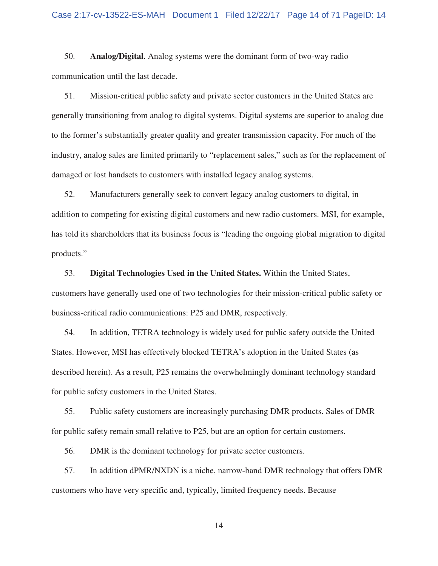50. **Analog/Digital**. Analog systems were the dominant form of two-way radio communication until the last decade.

51. Mission-critical public safety and private sector customers in the United States are generally transitioning from analog to digital systems. Digital systems are superior to analog due to the former's substantially greater quality and greater transmission capacity. For much of the industry, analog sales are limited primarily to "replacement sales," such as for the replacement of damaged or lost handsets to customers with installed legacy analog systems.

52. Manufacturers generally seek to convert legacy analog customers to digital, in addition to competing for existing digital customers and new radio customers. MSI, for example, has told its shareholders that its business focus is "leading the ongoing global migration to digital products."

53. **Digital Technologies Used in the United States.** Within the United States, customers have generally used one of two technologies for their mission-critical public safety or business-critical radio communications: P25 and DMR, respectively.

54. In addition, TETRA technology is widely used for public safety outside the United States. However, MSI has effectively blocked TETRA's adoption in the United States (as described herein). As a result, P25 remains the overwhelmingly dominant technology standard for public safety customers in the United States.

55. Public safety customers are increasingly purchasing DMR products. Sales of DMR for public safety remain small relative to P25, but are an option for certain customers.

56. DMR is the dominant technology for private sector customers.

57. In addition dPMR/NXDN is a niche, narrow-band DMR technology that offers DMR customers who have very specific and, typically, limited frequency needs. Because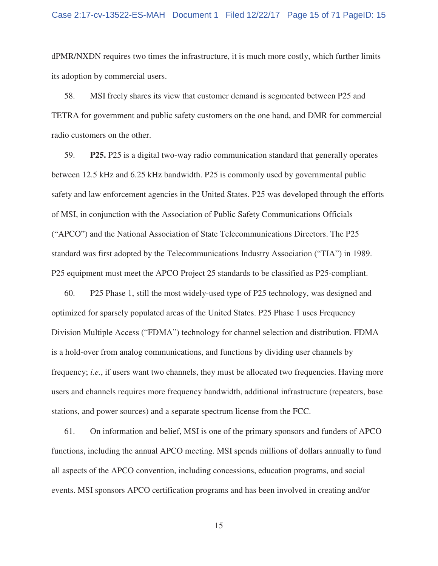dPMR/NXDN requires two times the infrastructure, it is much more costly, which further limits its adoption by commercial users.

58. MSI freely shares its view that customer demand is segmented between P25 and TETRA for government and public safety customers on the one hand, and DMR for commercial radio customers on the other.

59. **P25.** P25 is a digital two-way radio communication standard that generally operates between 12.5 kHz and 6.25 kHz bandwidth. P25 is commonly used by governmental public safety and law enforcement agencies in the United States. P25 was developed through the efforts of MSI, in conjunction with the Association of Public Safety Communications Officials ("APCO") and the National Association of State Telecommunications Directors. The P25 standard was first adopted by the Telecommunications Industry Association ("TIA") in 1989. P25 equipment must meet the APCO Project 25 standards to be classified as P25-compliant.

60. P25 Phase 1, still the most widely-used type of P25 technology, was designed and optimized for sparsely populated areas of the United States. P25 Phase 1 uses Frequency Division Multiple Access ("FDMA") technology for channel selection and distribution. FDMA is a hold-over from analog communications, and functions by dividing user channels by frequency; *i.e.*, if users want two channels, they must be allocated two frequencies. Having more users and channels requires more frequency bandwidth, additional infrastructure (repeaters, base stations, and power sources) and a separate spectrum license from the FCC.

61. On information and belief, MSI is one of the primary sponsors and funders of APCO functions, including the annual APCO meeting. MSI spends millions of dollars annually to fund all aspects of the APCO convention, including concessions, education programs, and social events. MSI sponsors APCO certification programs and has been involved in creating and/or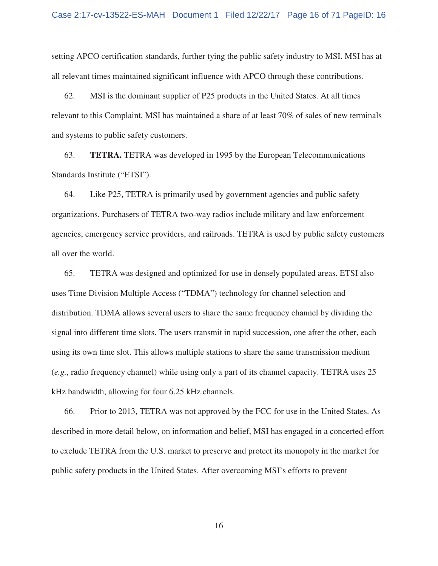setting APCO certification standards, further tying the public safety industry to MSI. MSI has at all relevant times maintained significant influence with APCO through these contributions.

62. MSI is the dominant supplier of P25 products in the United States. At all times relevant to this Complaint, MSI has maintained a share of at least 70% of sales of new terminals and systems to public safety customers.

63. **TETRA.** TETRA was developed in 1995 by the European Telecommunications Standards Institute ("ETSI").

64. Like P25, TETRA is primarily used by government agencies and public safety organizations. Purchasers of TETRA two-way radios include military and law enforcement agencies, emergency service providers, and railroads. TETRA is used by public safety customers all over the world.

65. TETRA was designed and optimized for use in densely populated areas. ETSI also uses Time Division Multiple Access ("TDMA") technology for channel selection and distribution. TDMA allows several users to share the same frequency channel by dividing the signal into different time slots. The users transmit in rapid succession, one after the other, each using its own time slot. This allows multiple stations to share the same transmission medium (*e.g.*, radio frequency channel) while using only a part of its channel capacity. TETRA uses 25 kHz bandwidth, allowing for four 6.25 kHz channels.

66. Prior to 2013, TETRA was not approved by the FCC for use in the United States. As described in more detail below, on information and belief, MSI has engaged in a concerted effort to exclude TETRA from the U.S. market to preserve and protect its monopoly in the market for public safety products in the United States. After overcoming MSI's efforts to prevent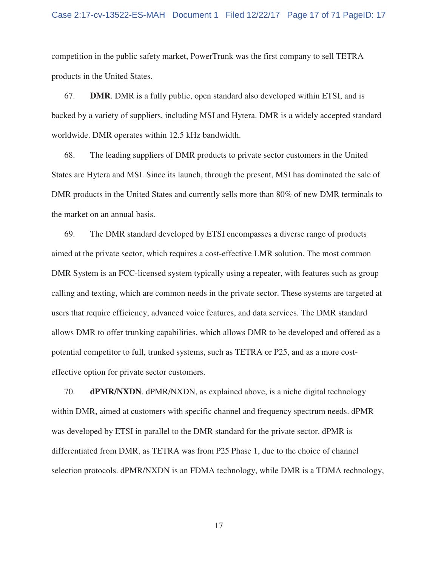### Case 2:17-cv-13522-ES-MAH Document 1 Filed 12/22/17 Page 17 of 71 PageID: 17

competition in the public safety market, PowerTrunk was the first company to sell TETRA products in the United States.

67. **DMR**. DMR is a fully public, open standard also developed within ETSI, and is backed by a variety of suppliers, including MSI and Hytera. DMR is a widely accepted standard worldwide. DMR operates within 12.5 kHz bandwidth.

68. The leading suppliers of DMR products to private sector customers in the United States are Hytera and MSI. Since its launch, through the present, MSI has dominated the sale of DMR products in the United States and currently sells more than 80% of new DMR terminals to the market on an annual basis.

69. The DMR standard developed by ETSI encompasses a diverse range of products aimed at the private sector, which requires a cost-effective LMR solution. The most common DMR System is an FCC-licensed system typically using a repeater, with features such as group calling and texting, which are common needs in the private sector. These systems are targeted at users that require efficiency, advanced voice features, and data services. The DMR standard allows DMR to offer trunking capabilities, which allows DMR to be developed and offered as a potential competitor to full, trunked systems, such as TETRA or P25, and as a more costeffective option for private sector customers.

70. **dPMR/NXDN**. dPMR/NXDN, as explained above, is a niche digital technology within DMR, aimed at customers with specific channel and frequency spectrum needs. dPMR was developed by ETSI in parallel to the DMR standard for the private sector. dPMR is differentiated from DMR, as TETRA was from P25 Phase 1, due to the choice of channel selection protocols. dPMR/NXDN is an FDMA technology, while DMR is a TDMA technology,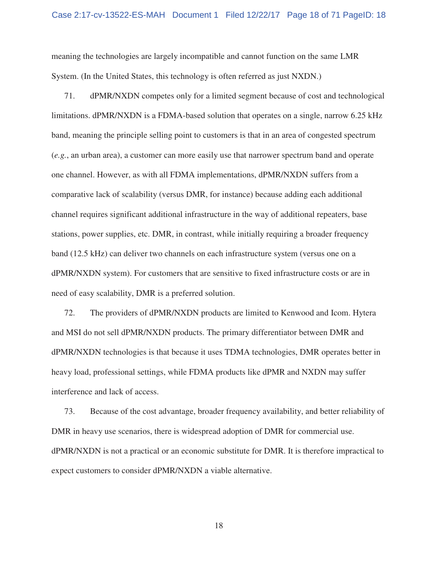meaning the technologies are largely incompatible and cannot function on the same LMR System. (In the United States, this technology is often referred as just NXDN.)

71. dPMR/NXDN competes only for a limited segment because of cost and technological limitations. dPMR/NXDN is a FDMA-based solution that operates on a single, narrow 6.25 kHz band, meaning the principle selling point to customers is that in an area of congested spectrum (*e.g.*, an urban area), a customer can more easily use that narrower spectrum band and operate one channel. However, as with all FDMA implementations, dPMR/NXDN suffers from a comparative lack of scalability (versus DMR, for instance) because adding each additional channel requires significant additional infrastructure in the way of additional repeaters, base stations, power supplies, etc. DMR, in contrast, while initially requiring a broader frequency band (12.5 kHz) can deliver two channels on each infrastructure system (versus one on a dPMR/NXDN system). For customers that are sensitive to fixed infrastructure costs or are in need of easy scalability, DMR is a preferred solution.

72. The providers of dPMR/NXDN products are limited to Kenwood and Icom. Hytera and MSI do not sell dPMR/NXDN products. The primary differentiator between DMR and dPMR/NXDN technologies is that because it uses TDMA technologies, DMR operates better in heavy load, professional settings, while FDMA products like dPMR and NXDN may suffer interference and lack of access.

73. Because of the cost advantage, broader frequency availability, and better reliability of DMR in heavy use scenarios, there is widespread adoption of DMR for commercial use. dPMR/NXDN is not a practical or an economic substitute for DMR. It is therefore impractical to expect customers to consider dPMR/NXDN a viable alternative.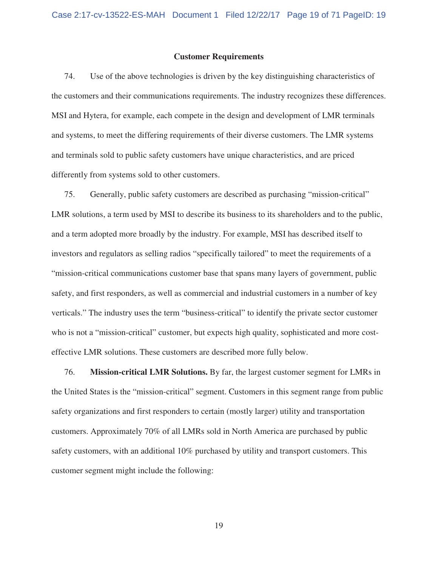## **Customer Requirements**

74. Use of the above technologies is driven by the key distinguishing characteristics of the customers and their communications requirements. The industry recognizes these differences. MSI and Hytera, for example, each compete in the design and development of LMR terminals and systems, to meet the differing requirements of their diverse customers. The LMR systems and terminals sold to public safety customers have unique characteristics, and are priced differently from systems sold to other customers.

75. Generally, public safety customers are described as purchasing "mission-critical" LMR solutions, a term used by MSI to describe its business to its shareholders and to the public, and a term adopted more broadly by the industry. For example, MSI has described itself to investors and regulators as selling radios "specifically tailored" to meet the requirements of a "mission-critical communications customer base that spans many layers of government, public safety, and first responders, as well as commercial and industrial customers in a number of key verticals." The industry uses the term "business-critical" to identify the private sector customer who is not a "mission-critical" customer, but expects high quality, sophisticated and more costeffective LMR solutions. These customers are described more fully below.

76. **Mission-critical LMR Solutions.** By far, the largest customer segment for LMRs in the United States is the "mission-critical" segment. Customers in this segment range from public safety organizations and first responders to certain (mostly larger) utility and transportation customers. Approximately 70% of all LMRs sold in North America are purchased by public safety customers, with an additional 10% purchased by utility and transport customers. This customer segment might include the following: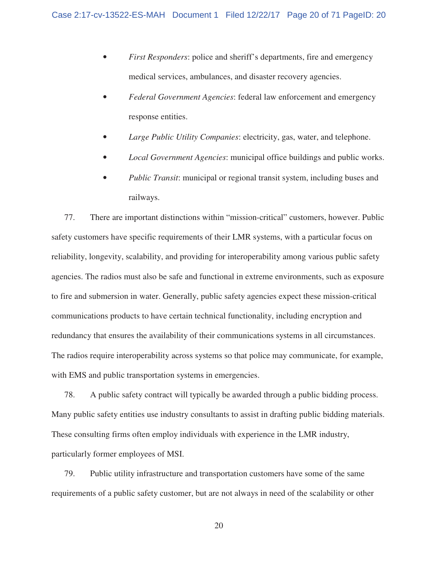- *First Responders*: police and sheriff's departments, fire and emergency medical services, ambulances, and disaster recovery agencies.
- *Federal Government Agencies*: federal law enforcement and emergency response entities.
- *Large Public Utility Companies*: electricity, gas, water, and telephone.
- *Local Government Agencies*: municipal office buildings and public works.
- *Public Transit*: municipal or regional transit system, including buses and railways.

77. There are important distinctions within "mission-critical" customers, however. Public safety customers have specific requirements of their LMR systems, with a particular focus on reliability, longevity, scalability, and providing for interoperability among various public safety agencies. The radios must also be safe and functional in extreme environments, such as exposure to fire and submersion in water. Generally, public safety agencies expect these mission-critical communications products to have certain technical functionality, including encryption and redundancy that ensures the availability of their communications systems in all circumstances. The radios require interoperability across systems so that police may communicate, for example, with EMS and public transportation systems in emergencies.

78. A public safety contract will typically be awarded through a public bidding process. Many public safety entities use industry consultants to assist in drafting public bidding materials. These consulting firms often employ individuals with experience in the LMR industry, particularly former employees of MSI.

79. Public utility infrastructure and transportation customers have some of the same requirements of a public safety customer, but are not always in need of the scalability or other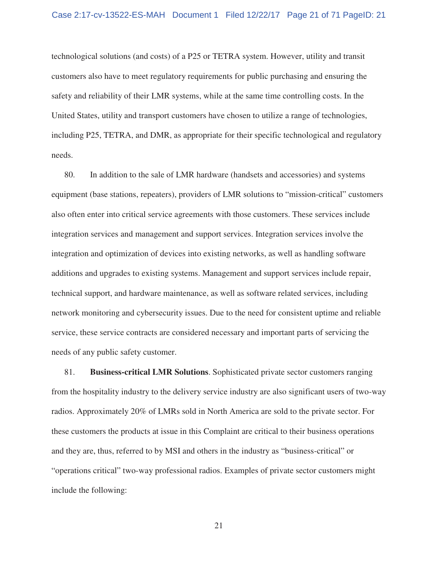technological solutions (and costs) of a P25 or TETRA system. However, utility and transit customers also have to meet regulatory requirements for public purchasing and ensuring the safety and reliability of their LMR systems, while at the same time controlling costs. In the United States, utility and transport customers have chosen to utilize a range of technologies, including P25, TETRA, and DMR, as appropriate for their specific technological and regulatory needs.

80. In addition to the sale of LMR hardware (handsets and accessories) and systems equipment (base stations, repeaters), providers of LMR solutions to "mission-critical" customers also often enter into critical service agreements with those customers. These services include integration services and management and support services. Integration services involve the integration and optimization of devices into existing networks, as well as handling software additions and upgrades to existing systems. Management and support services include repair, technical support, and hardware maintenance, as well as software related services, including network monitoring and cybersecurity issues. Due to the need for consistent uptime and reliable service, these service contracts are considered necessary and important parts of servicing the needs of any public safety customer.

81. **Business-critical LMR Solutions**. Sophisticated private sector customers ranging from the hospitality industry to the delivery service industry are also significant users of two-way radios. Approximately 20% of LMRs sold in North America are sold to the private sector. For these customers the products at issue in this Complaint are critical to their business operations and they are, thus, referred to by MSI and others in the industry as "business-critical" or "operations critical" two-way professional radios. Examples of private sector customers might include the following: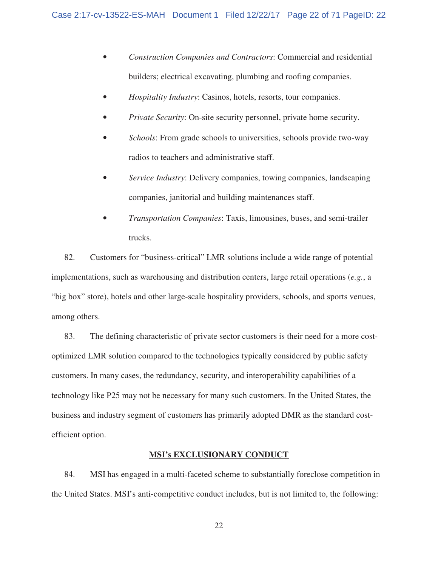- *Construction Companies and Contractors*: Commercial and residential builders; electrical excavating, plumbing and roofing companies.
- *Hospitality Industry*: Casinos, hotels, resorts, tour companies.
- *Private Security*: On-site security personnel, private home security.
- *Schools*: From grade schools to universities, schools provide two-way radios to teachers and administrative staff.
- *Service Industry*: Delivery companies, towing companies, landscaping companies, janitorial and building maintenances staff.
- *Transportation Companies*: Taxis, limousines, buses, and semi-trailer trucks.

82. Customers for "business-critical" LMR solutions include a wide range of potential implementations, such as warehousing and distribution centers, large retail operations (*e.g.*, a "big box" store), hotels and other large-scale hospitality providers, schools, and sports venues, among others.

83. The defining characteristic of private sector customers is their need for a more costoptimized LMR solution compared to the technologies typically considered by public safety customers. In many cases, the redundancy, security, and interoperability capabilities of a technology like P25 may not be necessary for many such customers. In the United States, the business and industry segment of customers has primarily adopted DMR as the standard costefficient option.

# **MSI's EXCLUSIONARY CONDUCT**

84. MSI has engaged in a multi-faceted scheme to substantially foreclose competition in the United States. MSI's anti-competitive conduct includes, but is not limited to, the following: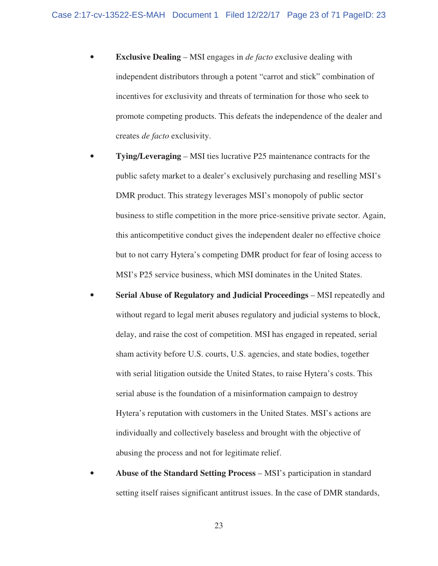- **Exclusive Dealing** MSI engages in *de facto* exclusive dealing with independent distributors through a potent "carrot and stick" combination of incentives for exclusivity and threats of termination for those who seek to promote competing products. This defeats the independence of the dealer and creates *de facto* exclusivity.
- **Tying/Leveraging** MSI ties lucrative P25 maintenance contracts for the public safety market to a dealer's exclusively purchasing and reselling MSI's DMR product. This strategy leverages MSI's monopoly of public sector business to stifle competition in the more price-sensitive private sector. Again, this anticompetitive conduct gives the independent dealer no effective choice but to not carry Hytera's competing DMR product for fear of losing access to MSI's P25 service business, which MSI dominates in the United States.
- **Serial Abuse of Regulatory and Judicial Proceedings** MSI repeatedly and without regard to legal merit abuses regulatory and judicial systems to block, delay, and raise the cost of competition. MSI has engaged in repeated, serial sham activity before U.S. courts, U.S. agencies, and state bodies, together with serial litigation outside the United States, to raise Hytera's costs. This serial abuse is the foundation of a misinformation campaign to destroy Hytera's reputation with customers in the United States. MSI's actions are individually and collectively baseless and brought with the objective of abusing the process and not for legitimate relief.
- **Abuse of the Standard Setting Process** MSI's participation in standard setting itself raises significant antitrust issues. In the case of DMR standards,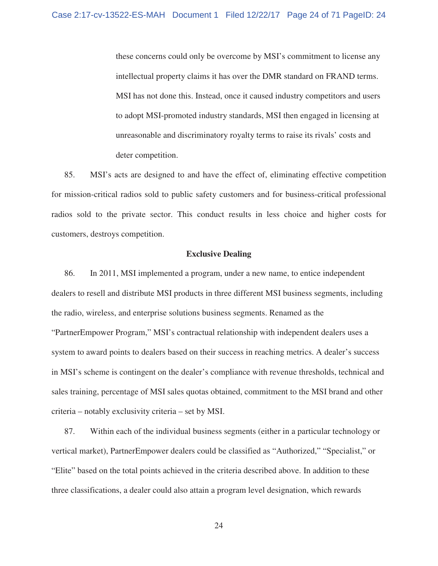these concerns could only be overcome by MSI's commitment to license any intellectual property claims it has over the DMR standard on FRAND terms. MSI has not done this. Instead, once it caused industry competitors and users to adopt MSI-promoted industry standards, MSI then engaged in licensing at unreasonable and discriminatory royalty terms to raise its rivals' costs and deter competition.

85. MSI's acts are designed to and have the effect of, eliminating effective competition for mission-critical radios sold to public safety customers and for business-critical professional radios sold to the private sector. This conduct results in less choice and higher costs for customers, destroys competition.

## **Exclusive Dealing**

86. In 2011, MSI implemented a program, under a new name, to entice independent dealers to resell and distribute MSI products in three different MSI business segments, including the radio, wireless, and enterprise solutions business segments. Renamed as the "PartnerEmpower Program," MSI's contractual relationship with independent dealers uses a system to award points to dealers based on their success in reaching metrics. A dealer's success in MSI's scheme is contingent on the dealer's compliance with revenue thresholds, technical and sales training, percentage of MSI sales quotas obtained, commitment to the MSI brand and other criteria – notably exclusivity criteria – set by MSI.

87. Within each of the individual business segments (either in a particular technology or vertical market), PartnerEmpower dealers could be classified as "Authorized," "Specialist," or "Elite" based on the total points achieved in the criteria described above. In addition to these three classifications, a dealer could also attain a program level designation, which rewards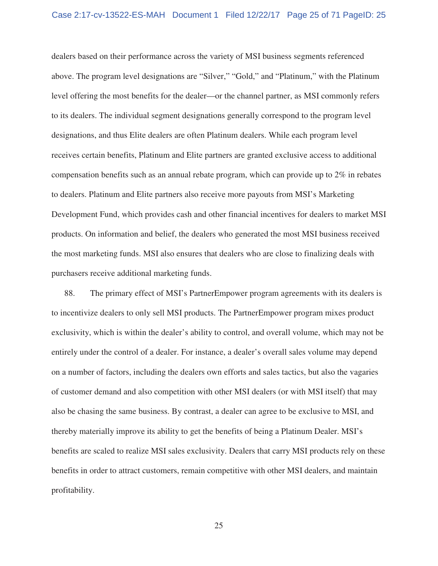dealers based on their performance across the variety of MSI business segments referenced above. The program level designations are "Silver," "Gold," and "Platinum," with the Platinum level offering the most benefits for the dealer—or the channel partner, as MSI commonly refers to its dealers. The individual segment designations generally correspond to the program level designations, and thus Elite dealers are often Platinum dealers. While each program level receives certain benefits, Platinum and Elite partners are granted exclusive access to additional compensation benefits such as an annual rebate program, which can provide up to 2% in rebates to dealers. Platinum and Elite partners also receive more payouts from MSI's Marketing Development Fund, which provides cash and other financial incentives for dealers to market MSI products. On information and belief, the dealers who generated the most MSI business received the most marketing funds. MSI also ensures that dealers who are close to finalizing deals with purchasers receive additional marketing funds.

88. The primary effect of MSI's PartnerEmpower program agreements with its dealers is to incentivize dealers to only sell MSI products. The PartnerEmpower program mixes product exclusivity, which is within the dealer's ability to control, and overall volume, which may not be entirely under the control of a dealer. For instance, a dealer's overall sales volume may depend on a number of factors, including the dealers own efforts and sales tactics, but also the vagaries of customer demand and also competition with other MSI dealers (or with MSI itself) that may also be chasing the same business. By contrast, a dealer can agree to be exclusive to MSI, and thereby materially improve its ability to get the benefits of being a Platinum Dealer. MSI's benefits are scaled to realize MSI sales exclusivity. Dealers that carry MSI products rely on these benefits in order to attract customers, remain competitive with other MSI dealers, and maintain profitability.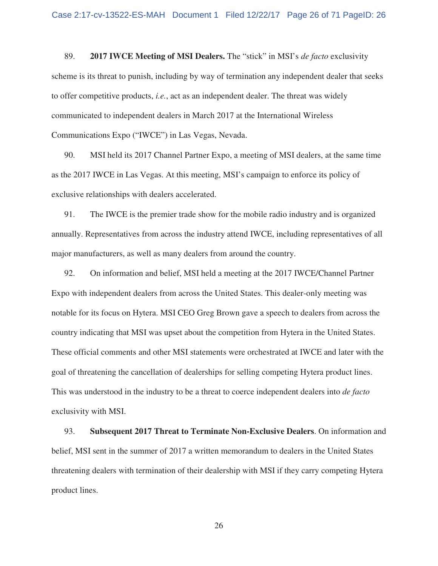89. **2017 IWCE Meeting of MSI Dealers.** The "stick" in MSI's *de facto* exclusivity scheme is its threat to punish, including by way of termination any independent dealer that seeks to offer competitive products, *i.e.*, act as an independent dealer. The threat was widely communicated to independent dealers in March 2017 at the International Wireless Communications Expo ("IWCE") in Las Vegas, Nevada.

90. MSI held its 2017 Channel Partner Expo, a meeting of MSI dealers, at the same time as the 2017 IWCE in Las Vegas. At this meeting, MSI's campaign to enforce its policy of exclusive relationships with dealers accelerated.

91. The IWCE is the premier trade show for the mobile radio industry and is organized annually. Representatives from across the industry attend IWCE, including representatives of all major manufacturers, as well as many dealers from around the country.

92. On information and belief, MSI held a meeting at the 2017 IWCE/Channel Partner Expo with independent dealers from across the United States. This dealer-only meeting was notable for its focus on Hytera. MSI CEO Greg Brown gave a speech to dealers from across the country indicating that MSI was upset about the competition from Hytera in the United States. These official comments and other MSI statements were orchestrated at IWCE and later with the goal of threatening the cancellation of dealerships for selling competing Hytera product lines. This was understood in the industry to be a threat to coerce independent dealers into *de facto* exclusivity with MSI.

93. **Subsequent 2017 Threat to Terminate Non-Exclusive Dealers**. On information and belief, MSI sent in the summer of 2017 a written memorandum to dealers in the United States threatening dealers with termination of their dealership with MSI if they carry competing Hytera product lines.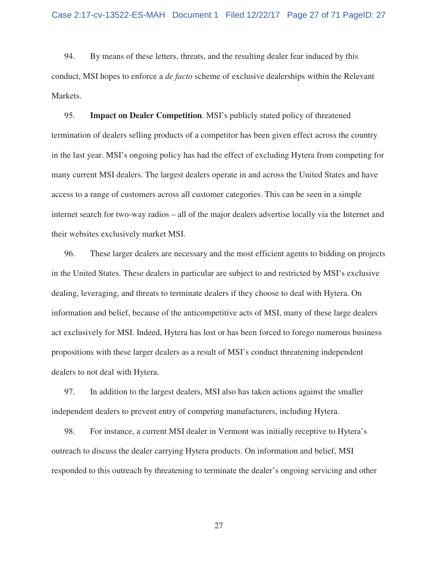94. By means of these letters, threats, and the resulting dealer fear induced by this conduct, MSI hopes to enforce a *de facto* scheme of exclusive dealerships within the Relevant Markets.

95. **Impact on Dealer Competition**. MSI's publicly stated policy of threatened termination of dealers selling products of a competitor has been given effect across the country in the last year. MSI's ongoing policy has had the effect of excluding Hytera from competing for many current MSI dealers. The largest dealers operate in and across the United States and have access to a range of customers across all customer categories. This can be seen in a simple internet search for two-way radios – all of the major dealers advertise locally via the Internet and their websites exclusively market MSI.

96. These larger dealers are necessary and the most efficient agents to bidding on projects in the United States. These dealers in particular are subject to and restricted by MSI's exclusive dealing, leveraging, and threats to terminate dealers if they choose to deal with Hytera. On information and belief, because of the anticompetitive acts of MSI, many of these large dealers act exclusively for MSI. Indeed, Hytera has lost or has been forced to forego numerous business propositions with these larger dealers as a result of MSI's conduct threatening independent dealers to not deal with Hytera.

97. In addition to the largest dealers, MSI also has taken actions against the smaller independent dealers to prevent entry of competing manufacturers, including Hytera.

98. For instance, a current MSI dealer in Vermont was initially receptive to Hytera's outreach to discuss the dealer carrying Hytera products. On information and belief, MSI responded to this outreach by threatening to terminate the dealer's ongoing servicing and other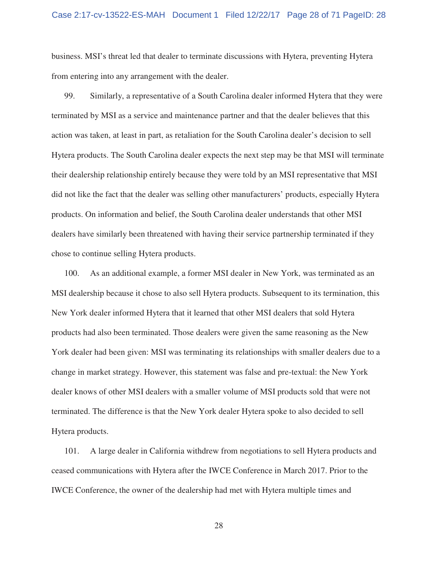business. MSI's threat led that dealer to terminate discussions with Hytera, preventing Hytera from entering into any arrangement with the dealer.

99. Similarly, a representative of a South Carolina dealer informed Hytera that they were terminated by MSI as a service and maintenance partner and that the dealer believes that this action was taken, at least in part, as retaliation for the South Carolina dealer's decision to sell Hytera products. The South Carolina dealer expects the next step may be that MSI will terminate their dealership relationship entirely because they were told by an MSI representative that MSI did not like the fact that the dealer was selling other manufacturers' products, especially Hytera products. On information and belief, the South Carolina dealer understands that other MSI dealers have similarly been threatened with having their service partnership terminated if they chose to continue selling Hytera products.

100. As an additional example, a former MSI dealer in New York, was terminated as an MSI dealership because it chose to also sell Hytera products. Subsequent to its termination, this New York dealer informed Hytera that it learned that other MSI dealers that sold Hytera products had also been terminated. Those dealers were given the same reasoning as the New York dealer had been given: MSI was terminating its relationships with smaller dealers due to a change in market strategy. However, this statement was false and pre-textual: the New York dealer knows of other MSI dealers with a smaller volume of MSI products sold that were not terminated. The difference is that the New York dealer Hytera spoke to also decided to sell Hytera products.

101. A large dealer in California withdrew from negotiations to sell Hytera products and ceased communications with Hytera after the IWCE Conference in March 2017. Prior to the IWCE Conference, the owner of the dealership had met with Hytera multiple times and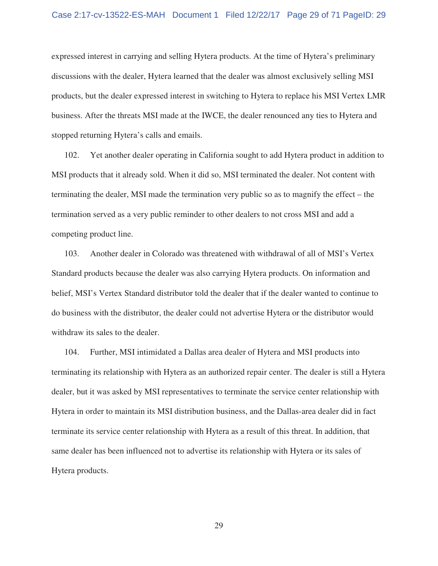expressed interest in carrying and selling Hytera products. At the time of Hytera's preliminary discussions with the dealer, Hytera learned that the dealer was almost exclusively selling MSI products, but the dealer expressed interest in switching to Hytera to replace his MSI Vertex LMR business. After the threats MSI made at the IWCE, the dealer renounced any ties to Hytera and stopped returning Hytera's calls and emails.

102. Yet another dealer operating in California sought to add Hytera product in addition to MSI products that it already sold. When it did so, MSI terminated the dealer. Not content with terminating the dealer, MSI made the termination very public so as to magnify the effect – the termination served as a very public reminder to other dealers to not cross MSI and add a competing product line.

103. Another dealer in Colorado was threatened with withdrawal of all of MSI's Vertex Standard products because the dealer was also carrying Hytera products. On information and belief, MSI's Vertex Standard distributor told the dealer that if the dealer wanted to continue to do business with the distributor, the dealer could not advertise Hytera or the distributor would withdraw its sales to the dealer.

104. Further, MSI intimidated a Dallas area dealer of Hytera and MSI products into terminating its relationship with Hytera as an authorized repair center. The dealer is still a Hytera dealer, but it was asked by MSI representatives to terminate the service center relationship with Hytera in order to maintain its MSI distribution business, and the Dallas-area dealer did in fact terminate its service center relationship with Hytera as a result of this threat. In addition, that same dealer has been influenced not to advertise its relationship with Hytera or its sales of Hytera products.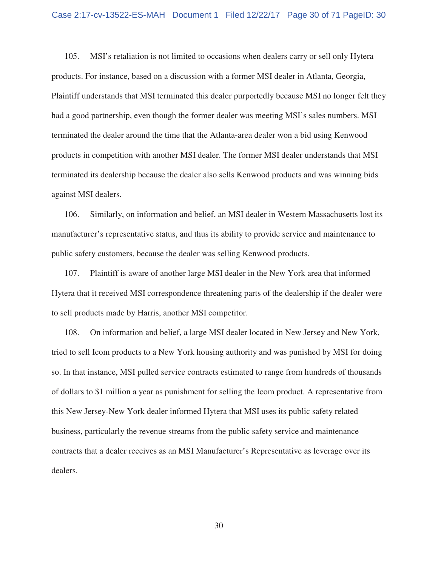105. MSI's retaliation is not limited to occasions when dealers carry or sell only Hytera products. For instance, based on a discussion with a former MSI dealer in Atlanta, Georgia, Plaintiff understands that MSI terminated this dealer purportedly because MSI no longer felt they had a good partnership, even though the former dealer was meeting MSI's sales numbers. MSI terminated the dealer around the time that the Atlanta-area dealer won a bid using Kenwood products in competition with another MSI dealer. The former MSI dealer understands that MSI terminated its dealership because the dealer also sells Kenwood products and was winning bids against MSI dealers.

106. Similarly, on information and belief, an MSI dealer in Western Massachusetts lost its manufacturer's representative status, and thus its ability to provide service and maintenance to public safety customers, because the dealer was selling Kenwood products.

107. Plaintiff is aware of another large MSI dealer in the New York area that informed Hytera that it received MSI correspondence threatening parts of the dealership if the dealer were to sell products made by Harris, another MSI competitor.

108. On information and belief, a large MSI dealer located in New Jersey and New York, tried to sell Icom products to a New York housing authority and was punished by MSI for doing so. In that instance, MSI pulled service contracts estimated to range from hundreds of thousands of dollars to \$1 million a year as punishment for selling the Icom product. A representative from this New Jersey-New York dealer informed Hytera that MSI uses its public safety related business, particularly the revenue streams from the public safety service and maintenance contracts that a dealer receives as an MSI Manufacturer's Representative as leverage over its dealers.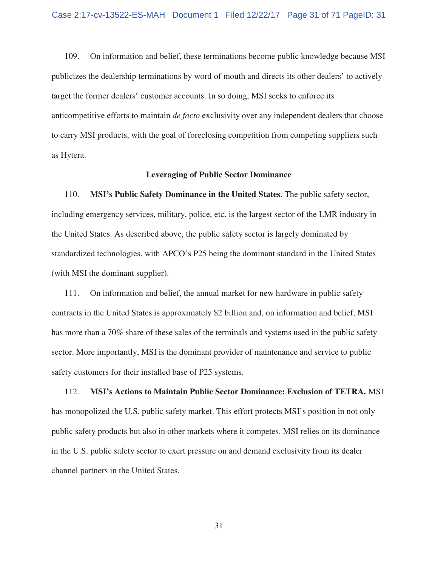109. On information and belief, these terminations become public knowledge because MSI publicizes the dealership terminations by word of mouth and directs its other dealers' to actively target the former dealers' customer accounts. In so doing, MSI seeks to enforce its anticompetitive efforts to maintain *de facto* exclusivity over any independent dealers that choose to carry MSI products, with the goal of foreclosing competition from competing suppliers such as Hytera.

## **Leveraging of Public Sector Dominance**

110. **MSI's Public Safety Dominance in the United States**. The public safety sector, including emergency services, military, police, etc. is the largest sector of the LMR industry in the United States. As described above, the public safety sector is largely dominated by standardized technologies, with APCO's P25 being the dominant standard in the United States (with MSI the dominant supplier).

111. On information and belief, the annual market for new hardware in public safety contracts in the United States is approximately \$2 billion and, on information and belief, MSI has more than a 70% share of these sales of the terminals and systems used in the public safety sector. More importantly, MSI is the dominant provider of maintenance and service to public safety customers for their installed base of P25 systems.

112. **MSI's Actions to Maintain Public Sector Dominance: Exclusion of TETRA.** MSI has monopolized the U.S. public safety market. This effort protects MSI's position in not only public safety products but also in other markets where it competes. MSI relies on its dominance in the U.S. public safety sector to exert pressure on and demand exclusivity from its dealer channel partners in the United States.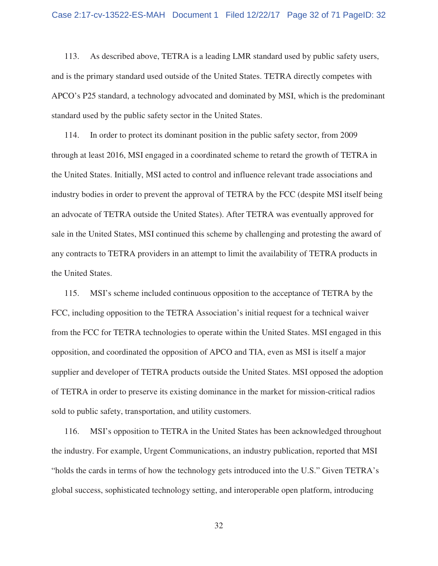113. As described above, TETRA is a leading LMR standard used by public safety users, and is the primary standard used outside of the United States. TETRA directly competes with APCO's P25 standard, a technology advocated and dominated by MSI, which is the predominant standard used by the public safety sector in the United States.

114. In order to protect its dominant position in the public safety sector, from 2009 through at least 2016, MSI engaged in a coordinated scheme to retard the growth of TETRA in the United States. Initially, MSI acted to control and influence relevant trade associations and industry bodies in order to prevent the approval of TETRA by the FCC (despite MSI itself being an advocate of TETRA outside the United States). After TETRA was eventually approved for sale in the United States, MSI continued this scheme by challenging and protesting the award of any contracts to TETRA providers in an attempt to limit the availability of TETRA products in the United States.

115. MSI's scheme included continuous opposition to the acceptance of TETRA by the FCC, including opposition to the TETRA Association's initial request for a technical waiver from the FCC for TETRA technologies to operate within the United States. MSI engaged in this opposition, and coordinated the opposition of APCO and TIA, even as MSI is itself a major supplier and developer of TETRA products outside the United States. MSI opposed the adoption of TETRA in order to preserve its existing dominance in the market for mission-critical radios sold to public safety, transportation, and utility customers.

116. MSI's opposition to TETRA in the United States has been acknowledged throughout the industry. For example, Urgent Communications, an industry publication, reported that MSI "holds the cards in terms of how the technology gets introduced into the U.S." Given TETRA's global success, sophisticated technology setting, and interoperable open platform, introducing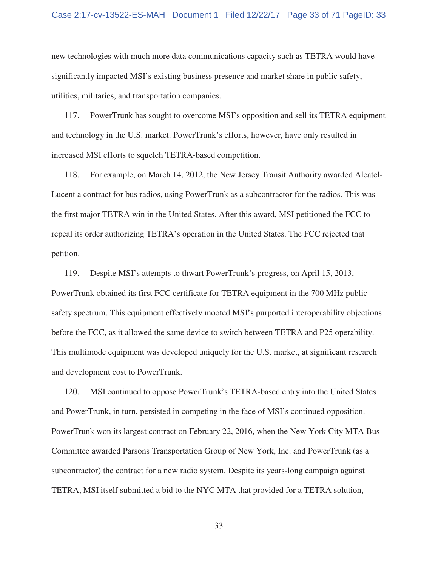new technologies with much more data communications capacity such as TETRA would have significantly impacted MSI's existing business presence and market share in public safety, utilities, militaries, and transportation companies.

117. PowerTrunk has sought to overcome MSI's opposition and sell its TETRA equipment and technology in the U.S. market. PowerTrunk's efforts, however, have only resulted in increased MSI efforts to squelch TETRA-based competition.

118. For example, on March 14, 2012, the New Jersey Transit Authority awarded Alcatel-Lucent a contract for bus radios, using PowerTrunk as a subcontractor for the radios. This was the first major TETRA win in the United States. After this award, MSI petitioned the FCC to repeal its order authorizing TETRA's operation in the United States. The FCC rejected that petition.

119. Despite MSI's attempts to thwart PowerTrunk's progress, on April 15, 2013, PowerTrunk obtained its first FCC certificate for TETRA equipment in the 700 MHz public safety spectrum. This equipment effectively mooted MSI's purported interoperability objections before the FCC, as it allowed the same device to switch between TETRA and P25 operability. This multimode equipment was developed uniquely for the U.S. market, at significant research and development cost to PowerTrunk.

120. MSI continued to oppose PowerTrunk's TETRA-based entry into the United States and PowerTrunk, in turn, persisted in competing in the face of MSI's continued opposition. PowerTrunk won its largest contract on February 22, 2016, when the New York City MTA Bus Committee awarded Parsons Transportation Group of New York, Inc. and PowerTrunk (as a subcontractor) the contract for a new radio system. Despite its years-long campaign against TETRA, MSI itself submitted a bid to the NYC MTA that provided for a TETRA solution,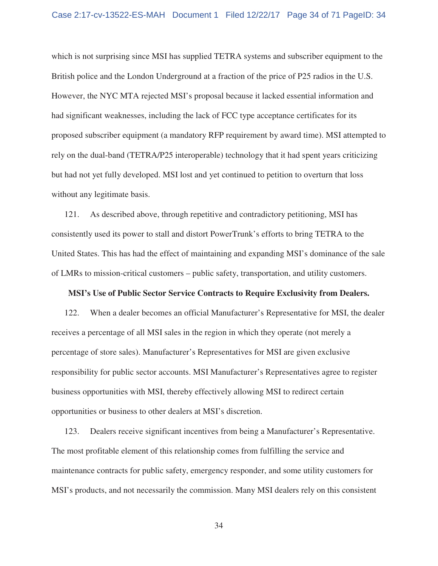which is not surprising since MSI has supplied TETRA systems and subscriber equipment to the British police and the London Underground at a fraction of the price of P25 radios in the U.S. However, the NYC MTA rejected MSI's proposal because it lacked essential information and had significant weaknesses, including the lack of FCC type acceptance certificates for its proposed subscriber equipment (a mandatory RFP requirement by award time). MSI attempted to rely on the dual-band (TETRA/P25 interoperable) technology that it had spent years criticizing but had not yet fully developed. MSI lost and yet continued to petition to overturn that loss without any legitimate basis.

121. As described above, through repetitive and contradictory petitioning, MSI has consistently used its power to stall and distort PowerTrunk's efforts to bring TETRA to the United States. This has had the effect of maintaining and expanding MSI's dominance of the sale of LMRs to mission-critical customers – public safety, transportation, and utility customers.

### **MSI's Use of Public Sector Service Contracts to Require Exclusivity from Dealers.**

122. When a dealer becomes an official Manufacturer's Representative for MSI, the dealer receives a percentage of all MSI sales in the region in which they operate (not merely a percentage of store sales). Manufacturer's Representatives for MSI are given exclusive responsibility for public sector accounts. MSI Manufacturer's Representatives agree to register business opportunities with MSI, thereby effectively allowing MSI to redirect certain opportunities or business to other dealers at MSI's discretion.

123. Dealers receive significant incentives from being a Manufacturer's Representative. The most profitable element of this relationship comes from fulfilling the service and maintenance contracts for public safety, emergency responder, and some utility customers for MSI's products, and not necessarily the commission. Many MSI dealers rely on this consistent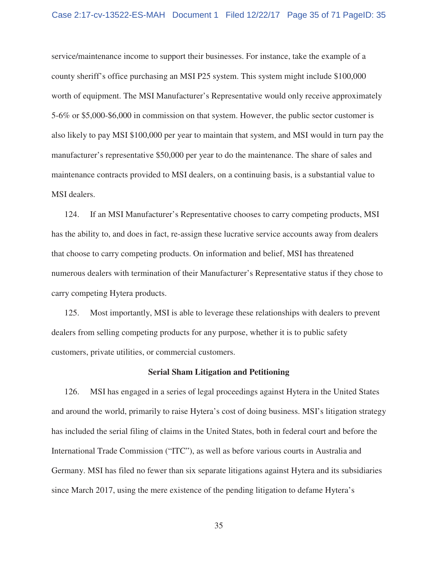## Case 2:17-cv-13522-ES-MAH Document 1 Filed 12/22/17 Page 35 of 71 PageID: 35

service/maintenance income to support their businesses. For instance, take the example of a county sheriff's office purchasing an MSI P25 system. This system might include \$100,000 worth of equipment. The MSI Manufacturer's Representative would only receive approximately 5-6% or \$5,000-\$6,000 in commission on that system. However, the public sector customer is also likely to pay MSI \$100,000 per year to maintain that system, and MSI would in turn pay the manufacturer's representative \$50,000 per year to do the maintenance. The share of sales and maintenance contracts provided to MSI dealers, on a continuing basis, is a substantial value to MSI dealers.

124. If an MSI Manufacturer's Representative chooses to carry competing products, MSI has the ability to, and does in fact, re-assign these lucrative service accounts away from dealers that choose to carry competing products. On information and belief, MSI has threatened numerous dealers with termination of their Manufacturer's Representative status if they chose to carry competing Hytera products.

125. Most importantly, MSI is able to leverage these relationships with dealers to prevent dealers from selling competing products for any purpose, whether it is to public safety customers, private utilities, or commercial customers.

### **Serial Sham Litigation and Petitioning**

126. MSI has engaged in a series of legal proceedings against Hytera in the United States and around the world, primarily to raise Hytera's cost of doing business. MSI's litigation strategy has included the serial filing of claims in the United States, both in federal court and before the International Trade Commission ("ITC"), as well as before various courts in Australia and Germany. MSI has filed no fewer than six separate litigations against Hytera and its subsidiaries since March 2017, using the mere existence of the pending litigation to defame Hytera's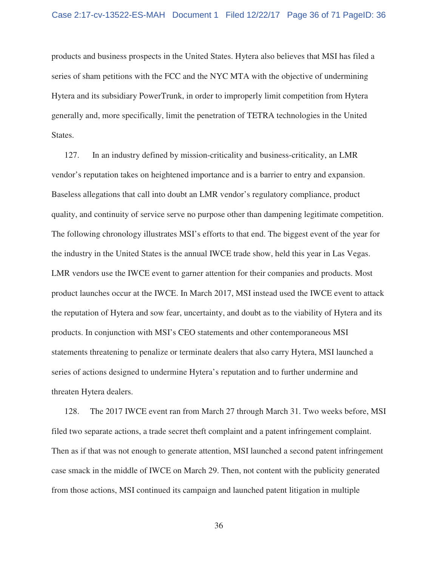products and business prospects in the United States. Hytera also believes that MSI has filed a series of sham petitions with the FCC and the NYC MTA with the objective of undermining Hytera and its subsidiary PowerTrunk, in order to improperly limit competition from Hytera generally and, more specifically, limit the penetration of TETRA technologies in the United States.

127. In an industry defined by mission-criticality and business-criticality, an LMR vendor's reputation takes on heightened importance and is a barrier to entry and expansion. Baseless allegations that call into doubt an LMR vendor's regulatory compliance, product quality, and continuity of service serve no purpose other than dampening legitimate competition. The following chronology illustrates MSI's efforts to that end. The biggest event of the year for the industry in the United States is the annual IWCE trade show, held this year in Las Vegas. LMR vendors use the IWCE event to garner attention for their companies and products. Most product launches occur at the IWCE. In March 2017, MSI instead used the IWCE event to attack the reputation of Hytera and sow fear, uncertainty, and doubt as to the viability of Hytera and its products. In conjunction with MSI's CEO statements and other contemporaneous MSI statements threatening to penalize or terminate dealers that also carry Hytera, MSI launched a series of actions designed to undermine Hytera's reputation and to further undermine and threaten Hytera dealers.

128. The 2017 IWCE event ran from March 27 through March 31. Two weeks before, MSI filed two separate actions, a trade secret theft complaint and a patent infringement complaint. Then as if that was not enough to generate attention, MSI launched a second patent infringement case smack in the middle of IWCE on March 29. Then, not content with the publicity generated from those actions, MSI continued its campaign and launched patent litigation in multiple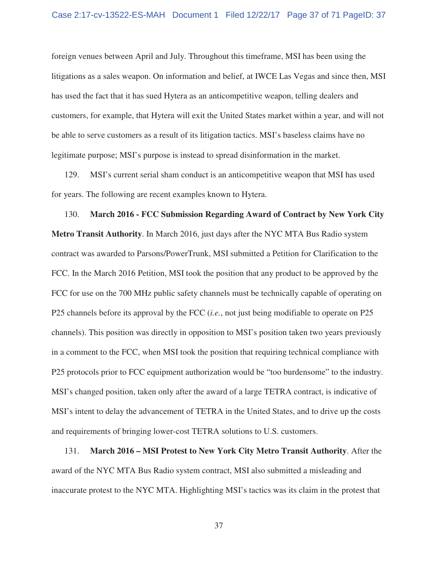foreign venues between April and July. Throughout this timeframe, MSI has been using the litigations as a sales weapon. On information and belief, at IWCE Las Vegas and since then, MSI has used the fact that it has sued Hytera as an anticompetitive weapon, telling dealers and customers, for example, that Hytera will exit the United States market within a year, and will not be able to serve customers as a result of its litigation tactics. MSI's baseless claims have no legitimate purpose; MSI's purpose is instead to spread disinformation in the market.

129. MSI's current serial sham conduct is an anticompetitive weapon that MSI has used for years. The following are recent examples known to Hytera.

130. **March 2016 - FCC Submission Regarding Award of Contract by New York City Metro Transit Authority**. In March 2016, just days after the NYC MTA Bus Radio system contract was awarded to Parsons/PowerTrunk, MSI submitted a Petition for Clarification to the FCC. In the March 2016 Petition, MSI took the position that any product to be approved by the FCC for use on the 700 MHz public safety channels must be technically capable of operating on P25 channels before its approval by the FCC (*i.e.*, not just being modifiable to operate on P25 channels). This position was directly in opposition to MSI's position taken two years previously in a comment to the FCC, when MSI took the position that requiring technical compliance with P25 protocols prior to FCC equipment authorization would be "too burdensome" to the industry. MSI's changed position, taken only after the award of a large TETRA contract, is indicative of MSI's intent to delay the advancement of TETRA in the United States, and to drive up the costs and requirements of bringing lower-cost TETRA solutions to U.S. customers.

131. **March 2016 – MSI Protest to New York City Metro Transit Authority**. After the award of the NYC MTA Bus Radio system contract, MSI also submitted a misleading and inaccurate protest to the NYC MTA. Highlighting MSI's tactics was its claim in the protest that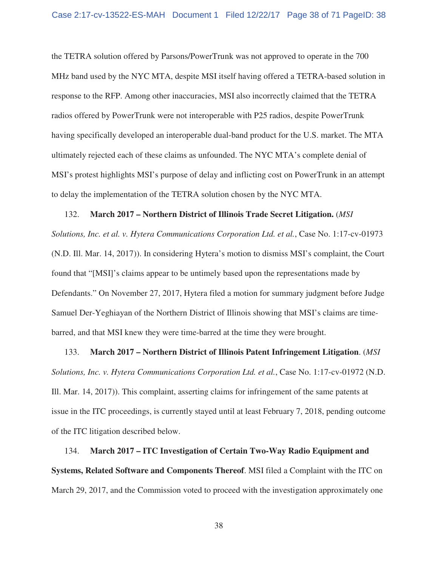the TETRA solution offered by Parsons/PowerTrunk was not approved to operate in the 700 MHz band used by the NYC MTA, despite MSI itself having offered a TETRA-based solution in response to the RFP. Among other inaccuracies, MSI also incorrectly claimed that the TETRA radios offered by PowerTrunk were not interoperable with P25 radios, despite PowerTrunk having specifically developed an interoperable dual-band product for the U.S. market. The MTA ultimately rejected each of these claims as unfounded. The NYC MTA's complete denial of MSI's protest highlights MSI's purpose of delay and inflicting cost on PowerTrunk in an attempt to delay the implementation of the TETRA solution chosen by the NYC MTA.

#### 132. **March 2017 – Northern District of Illinois Trade Secret Litigation.** (*MSI*

*Solutions, Inc. et al. v. Hytera Communications Corporation Ltd. et al.*, Case No. 1:17-cv-01973 (N.D. Ill. Mar. 14, 2017)). In considering Hytera's motion to dismiss MSI's complaint, the Court found that "[MSI]'s claims appear to be untimely based upon the representations made by Defendants." On November 27, 2017, Hytera filed a motion for summary judgment before Judge Samuel Der-Yeghiayan of the Northern District of Illinois showing that MSI's claims are timebarred, and that MSI knew they were time-barred at the time they were brought.

133. **March 2017 – Northern District of Illinois Patent Infringement Litigation**. (*MSI Solutions, Inc. v. Hytera Communications Corporation Ltd. et al.*, Case No. 1:17-cv-01972 (N.D. Ill. Mar. 14, 2017)). This complaint, asserting claims for infringement of the same patents at issue in the ITC proceedings, is currently stayed until at least February 7, 2018, pending outcome of the ITC litigation described below.

134. **March 2017 – ITC Investigation of Certain Two-Way Radio Equipment and Systems, Related Software and Components Thereof**. MSI filed a Complaint with the ITC on March 29, 2017, and the Commission voted to proceed with the investigation approximately one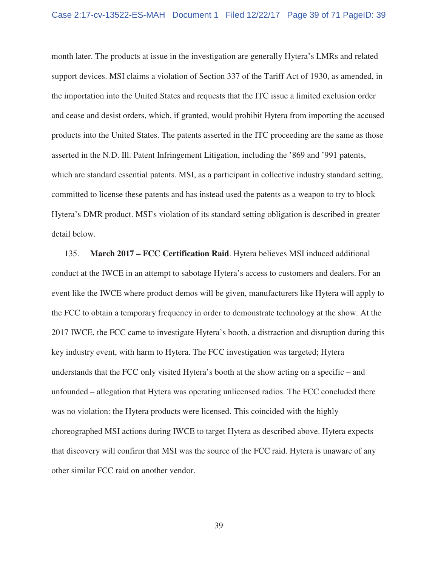month later. The products at issue in the investigation are generally Hytera's LMRs and related support devices. MSI claims a violation of Section 337 of the Tariff Act of 1930, as amended, in the importation into the United States and requests that the ITC issue a limited exclusion order and cease and desist orders, which, if granted, would prohibit Hytera from importing the accused products into the United States. The patents asserted in the ITC proceeding are the same as those asserted in the N.D. Ill. Patent Infringement Litigation, including the '869 and '991 patents, which are standard essential patents. MSI, as a participant in collective industry standard setting, committed to license these patents and has instead used the patents as a weapon to try to block Hytera's DMR product. MSI's violation of its standard setting obligation is described in greater detail below.

135. **March 2017 – FCC Certification Raid**. Hytera believes MSI induced additional conduct at the IWCE in an attempt to sabotage Hytera's access to customers and dealers. For an event like the IWCE where product demos will be given, manufacturers like Hytera will apply to the FCC to obtain a temporary frequency in order to demonstrate technology at the show. At the 2017 IWCE, the FCC came to investigate Hytera's booth, a distraction and disruption during this key industry event, with harm to Hytera. The FCC investigation was targeted; Hytera understands that the FCC only visited Hytera's booth at the show acting on a specific – and unfounded – allegation that Hytera was operating unlicensed radios. The FCC concluded there was no violation: the Hytera products were licensed. This coincided with the highly choreographed MSI actions during IWCE to target Hytera as described above. Hytera expects that discovery will confirm that MSI was the source of the FCC raid. Hytera is unaware of any other similar FCC raid on another vendor.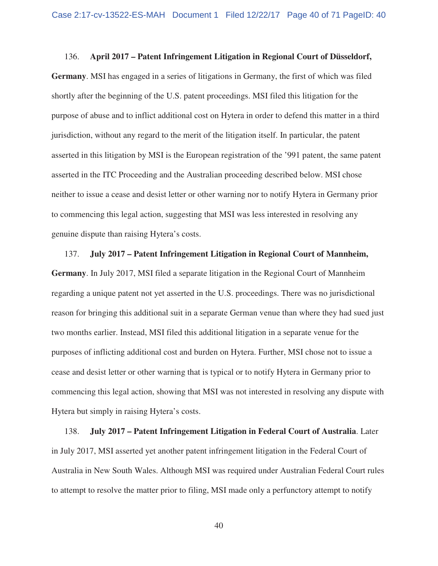## 136. **April 2017 – Patent Infringement Litigation in Regional Court of Düsseldorf,**

**Germany**. MSI has engaged in a series of litigations in Germany, the first of which was filed shortly after the beginning of the U.S. patent proceedings. MSI filed this litigation for the purpose of abuse and to inflict additional cost on Hytera in order to defend this matter in a third jurisdiction, without any regard to the merit of the litigation itself. In particular, the patent asserted in this litigation by MSI is the European registration of the '991 patent, the same patent asserted in the ITC Proceeding and the Australian proceeding described below. MSI chose neither to issue a cease and desist letter or other warning nor to notify Hytera in Germany prior to commencing this legal action, suggesting that MSI was less interested in resolving any genuine dispute than raising Hytera's costs.

# 137. **July 2017 – Patent Infringement Litigation in Regional Court of Mannheim, Germany**. In July 2017, MSI filed a separate litigation in the Regional Court of Mannheim regarding a unique patent not yet asserted in the U.S. proceedings. There was no jurisdictional reason for bringing this additional suit in a separate German venue than where they had sued just two months earlier. Instead, MSI filed this additional litigation in a separate venue for the purposes of inflicting additional cost and burden on Hytera. Further, MSI chose not to issue a cease and desist letter or other warning that is typical or to notify Hytera in Germany prior to commencing this legal action, showing that MSI was not interested in resolving any dispute with Hytera but simply in raising Hytera's costs.

138. **July 2017 – Patent Infringement Litigation in Federal Court of Australia**. Later in July 2017, MSI asserted yet another patent infringement litigation in the Federal Court of Australia in New South Wales. Although MSI was required under Australian Federal Court rules to attempt to resolve the matter prior to filing, MSI made only a perfunctory attempt to notify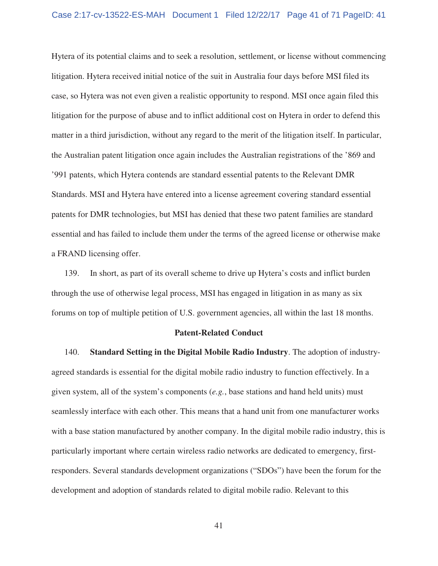Hytera of its potential claims and to seek a resolution, settlement, or license without commencing litigation. Hytera received initial notice of the suit in Australia four days before MSI filed its case, so Hytera was not even given a realistic opportunity to respond. MSI once again filed this litigation for the purpose of abuse and to inflict additional cost on Hytera in order to defend this matter in a third jurisdiction, without any regard to the merit of the litigation itself. In particular, the Australian patent litigation once again includes the Australian registrations of the '869 and '991 patents, which Hytera contends are standard essential patents to the Relevant DMR Standards. MSI and Hytera have entered into a license agreement covering standard essential patents for DMR technologies, but MSI has denied that these two patent families are standard essential and has failed to include them under the terms of the agreed license or otherwise make a FRAND licensing offer.

139. In short, as part of its overall scheme to drive up Hytera's costs and inflict burden through the use of otherwise legal process, MSI has engaged in litigation in as many as six forums on top of multiple petition of U.S. government agencies, all within the last 18 months.

### **Patent-Related Conduct**

140. **Standard Setting in the Digital Mobile Radio Industry**. The adoption of industryagreed standards is essential for the digital mobile radio industry to function effectively. In a given system, all of the system's components (*e.g.*, base stations and hand held units) must seamlessly interface with each other. This means that a hand unit from one manufacturer works with a base station manufactured by another company. In the digital mobile radio industry, this is particularly important where certain wireless radio networks are dedicated to emergency, firstresponders. Several standards development organizations ("SDOs") have been the forum for the development and adoption of standards related to digital mobile radio. Relevant to this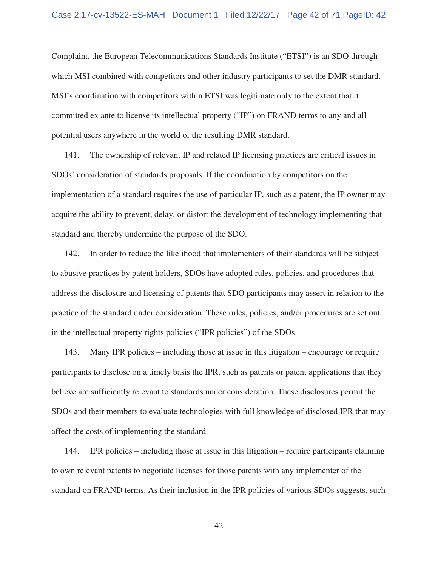Complaint, the European Telecommunications Standards Institute ("ETSI") is an SDO through which MSI combined with competitors and other industry participants to set the DMR standard. MSI's coordination with competitors within ETSI was legitimate only to the extent that it committed ex ante to license its intellectual property ("IP") on FRAND terms to any and all potential users anywhere in the world of the resulting DMR standard.

141. The ownership of relevant IP and related IP licensing practices are critical issues in SDOs' consideration of standards proposals. If the coordination by competitors on the implementation of a standard requires the use of particular IP, such as a patent, the IP owner may acquire the ability to prevent, delay, or distort the development of technology implementing that standard and thereby undermine the purpose of the SDO.

142. In order to reduce the likelihood that implementers of their standards will be subject to abusive practices by patent holders, SDOs have adopted rules, policies, and procedures that address the disclosure and licensing of patents that SDO participants may assert in relation to the practice of the standard under consideration. These rules, policies, and/or procedures are set out in the intellectual property rights policies ("IPR policies") of the SDOs.

143. Many IPR policies – including those at issue in this litigation – encourage or require participants to disclose on a timely basis the IPR, such as patents or patent applications that they believe are sufficiently relevant to standards under consideration. These disclosures permit the SDOs and their members to evaluate technologies with full knowledge of disclosed IPR that may affect the costs of implementing the standard.

144. IPR policies – including those at issue in this litigation – require participants claiming to own relevant patents to negotiate licenses for those patents with any implementer of the standard on FRAND terms. As their inclusion in the IPR policies of various SDOs suggests, such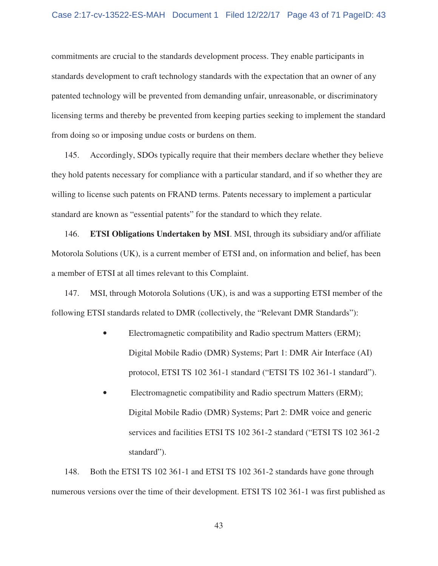commitments are crucial to the standards development process. They enable participants in standards development to craft technology standards with the expectation that an owner of any patented technology will be prevented from demanding unfair, unreasonable, or discriminatory licensing terms and thereby be prevented from keeping parties seeking to implement the standard from doing so or imposing undue costs or burdens on them.

145. Accordingly, SDOs typically require that their members declare whether they believe they hold patents necessary for compliance with a particular standard, and if so whether they are willing to license such patents on FRAND terms. Patents necessary to implement a particular standard are known as "essential patents" for the standard to which they relate.

146. **ETSI Obligations Undertaken by MSI**. MSI, through its subsidiary and/or affiliate Motorola Solutions (UK), is a current member of ETSI and, on information and belief, has been a member of ETSI at all times relevant to this Complaint.

147. MSI, through Motorola Solutions (UK), is and was a supporting ETSI member of the following ETSI standards related to DMR (collectively, the "Relevant DMR Standards"):

- Electromagnetic compatibility and Radio spectrum Matters (ERM); Digital Mobile Radio (DMR) Systems; Part 1: DMR Air Interface (AI) protocol, ETSI TS 102 361-1 standard ("ETSI TS 102 361-1 standard").
- Electromagnetic compatibility and Radio spectrum Matters (ERM); Digital Mobile Radio (DMR) Systems; Part 2: DMR voice and generic services and facilities ETSI TS 102 361-2 standard ("ETSI TS 102 361-2 standard").

148. Both the ETSI TS 102 361-1 and ETSI TS 102 361-2 standards have gone through numerous versions over the time of their development. ETSI TS 102 361-1 was first published as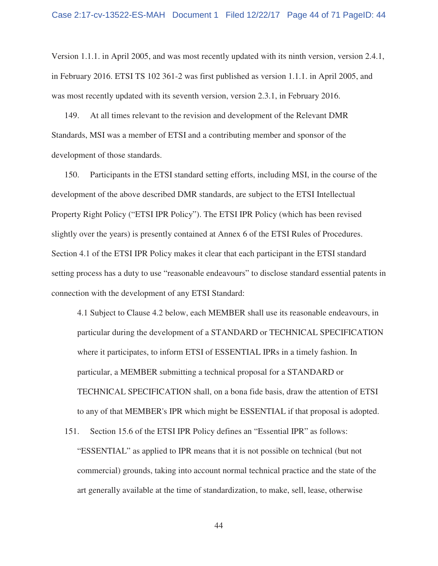Version 1.1.1. in April 2005, and was most recently updated with its ninth version, version 2.4.1, in February 2016. ETSI TS 102 361-2 was first published as version 1.1.1. in April 2005, and was most recently updated with its seventh version, version 2.3.1, in February 2016.

149. At all times relevant to the revision and development of the Relevant DMR Standards, MSI was a member of ETSI and a contributing member and sponsor of the development of those standards.

150. Participants in the ETSI standard setting efforts, including MSI, in the course of the development of the above described DMR standards, are subject to the ETSI Intellectual Property Right Policy ("ETSI IPR Policy"). The ETSI IPR Policy (which has been revised slightly over the years) is presently contained at Annex 6 of the ETSI Rules of Procedures. Section 4.1 of the ETSI IPR Policy makes it clear that each participant in the ETSI standard setting process has a duty to use "reasonable endeavours" to disclose standard essential patents in connection with the development of any ETSI Standard:

4.1 Subject to Clause 4.2 below, each MEMBER shall use its reasonable endeavours, in particular during the development of a STANDARD or TECHNICAL SPECIFICATION where it participates, to inform ETSI of ESSENTIAL IPRs in a timely fashion. In particular, a MEMBER submitting a technical proposal for a STANDARD or TECHNICAL SPECIFICATION shall, on a bona fide basis, draw the attention of ETSI to any of that MEMBER's IPR which might be ESSENTIAL if that proposal is adopted.

151. Section 15.6 of the ETSI IPR Policy defines an "Essential IPR" as follows: "ESSENTIAL" as applied to IPR means that it is not possible on technical (but not commercial) grounds, taking into account normal technical practice and the state of the art generally available at the time of standardization, to make, sell, lease, otherwise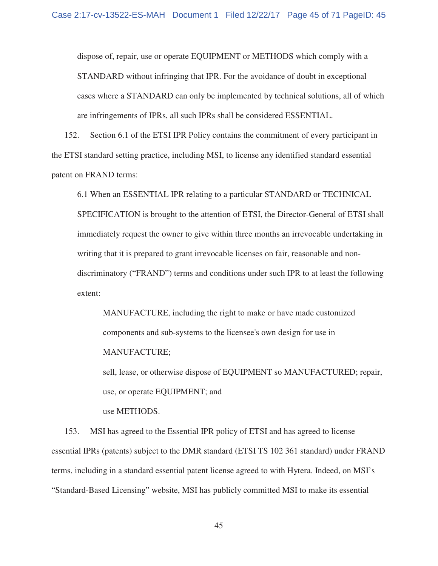dispose of, repair, use or operate EQUIPMENT or METHODS which comply with a STANDARD without infringing that IPR. For the avoidance of doubt in exceptional cases where a STANDARD can only be implemented by technical solutions, all of which are infringements of IPRs, all such IPRs shall be considered ESSENTIAL.

152. Section 6.1 of the ETSI IPR Policy contains the commitment of every participant in the ETSI standard setting practice, including MSI, to license any identified standard essential patent on FRAND terms:

6.1 When an ESSENTIAL IPR relating to a particular STANDARD or TECHNICAL SPECIFICATION is brought to the attention of ETSI, the Director-General of ETSI shall immediately request the owner to give within three months an irrevocable undertaking in writing that it is prepared to grant irrevocable licenses on fair, reasonable and nondiscriminatory ("FRAND") terms and conditions under such IPR to at least the following extent:

MANUFACTURE, including the right to make or have made customized components and sub-systems to the licensee's own design for use in MANUFACTURE;

sell, lease, or otherwise dispose of EQUIPMENT so MANUFACTURED; repair, use, or operate EQUIPMENT; and

use METHODS.

153. MSI has agreed to the Essential IPR policy of ETSI and has agreed to license essential IPRs (patents) subject to the DMR standard (ETSI TS 102 361 standard) under FRAND terms, including in a standard essential patent license agreed to with Hytera. Indeed, on MSI's "Standard-Based Licensing" website, MSI has publicly committed MSI to make its essential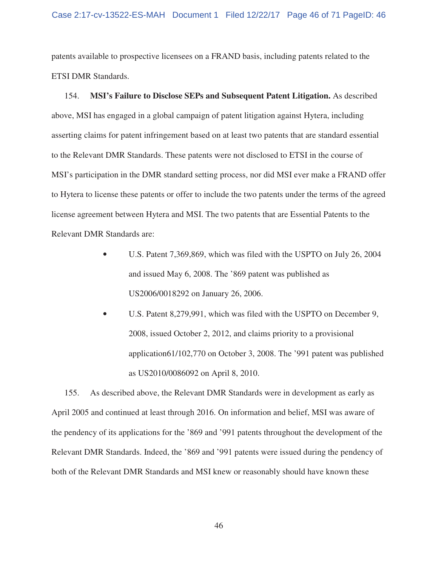patents available to prospective licensees on a FRAND basis, including patents related to the ETSI DMR Standards.

154. **MSI's Failure to Disclose SEPs and Subsequent Patent Litigation.** As described above, MSI has engaged in a global campaign of patent litigation against Hytera, including asserting claims for patent infringement based on at least two patents that are standard essential to the Relevant DMR Standards. These patents were not disclosed to ETSI in the course of MSI's participation in the DMR standard setting process, nor did MSI ever make a FRAND offer to Hytera to license these patents or offer to include the two patents under the terms of the agreed license agreement between Hytera and MSI. The two patents that are Essential Patents to the Relevant DMR Standards are:

- U.S. Patent 7,369,869, which was filed with the USPTO on July 26, 2004 and issued May 6, 2008. The '869 patent was published as US2006/0018292 on January 26, 2006.
- U.S. Patent 8,279,991, which was filed with the USPTO on December 9, 2008, issued October 2, 2012, and claims priority to a provisional application61/102,770 on October 3, 2008. The '991 patent was published as US2010/0086092 on April 8, 2010.

155. As described above, the Relevant DMR Standards were in development as early as April 2005 and continued at least through 2016. On information and belief, MSI was aware of the pendency of its applications for the '869 and '991 patents throughout the development of the Relevant DMR Standards. Indeed, the '869 and '991 patents were issued during the pendency of both of the Relevant DMR Standards and MSI knew or reasonably should have known these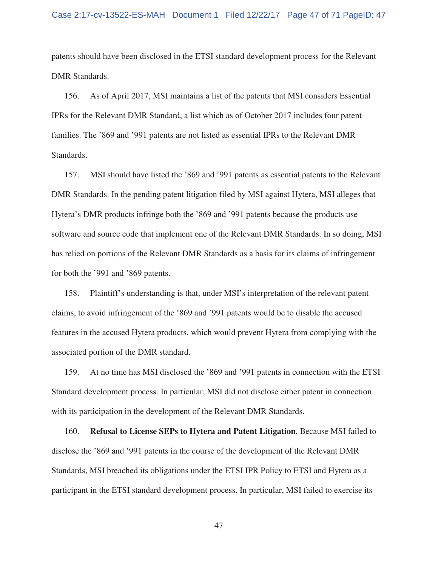patents should have been disclosed in the ETSI standard development process for the Relevant DMR Standards.

156. As of April 2017, MSI maintains a list of the patents that MSI considers Essential IPRs for the Relevant DMR Standard, a list which as of October 2017 includes four patent families. The '869 and '991 patents are not listed as essential IPRs to the Relevant DMR Standards.

157. MSI should have listed the '869 and '991 patents as essential patents to the Relevant DMR Standards. In the pending patent litigation filed by MSI against Hytera, MSI alleges that Hytera's DMR products infringe both the '869 and '991 patents because the products use software and source code that implement one of the Relevant DMR Standards. In so doing, MSI has relied on portions of the Relevant DMR Standards as a basis for its claims of infringement for both the '991 and '869 patents.

158. Plaintiff's understanding is that, under MSI's interpretation of the relevant patent claims, to avoid infringement of the '869 and '991 patents would be to disable the accused features in the accused Hytera products, which would prevent Hytera from complying with the associated portion of the DMR standard.

159. At no time has MSI disclosed the '869 and '991 patents in connection with the ETSI Standard development process. In particular, MSI did not disclose either patent in connection with its participation in the development of the Relevant DMR Standards.

160. **Refusal to License SEPs to Hytera and Patent Litigation**. Because MSI failed to disclose the '869 and '991 patents in the course of the development of the Relevant DMR Standards, MSI breached its obligations under the ETSI IPR Policy to ETSI and Hytera as a participant in the ETSI standard development process. In particular, MSI failed to exercise its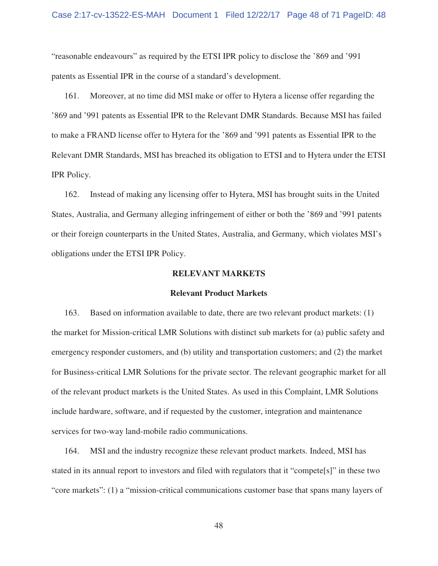"reasonable endeavours" as required by the ETSI IPR policy to disclose the '869 and '991 patents as Essential IPR in the course of a standard's development.

161. Moreover, at no time did MSI make or offer to Hytera a license offer regarding the '869 and '991 patents as Essential IPR to the Relevant DMR Standards. Because MSI has failed to make a FRAND license offer to Hytera for the '869 and '991 patents as Essential IPR to the Relevant DMR Standards, MSI has breached its obligation to ETSI and to Hytera under the ETSI IPR Policy.

162. Instead of making any licensing offer to Hytera, MSI has brought suits in the United States, Australia, and Germany alleging infringement of either or both the '869 and '991 patents or their foreign counterparts in the United States, Australia, and Germany, which violates MSI's obligations under the ETSI IPR Policy.

## **RELEVANT MARKETS**

## **Relevant Product Markets**

163. Based on information available to date, there are two relevant product markets: (1) the market for Mission-critical LMR Solutions with distinct sub markets for (a) public safety and emergency responder customers, and (b) utility and transportation customers; and (2) the market for Business-critical LMR Solutions for the private sector. The relevant geographic market for all of the relevant product markets is the United States. As used in this Complaint, LMR Solutions include hardware, software, and if requested by the customer, integration and maintenance services for two-way land-mobile radio communications.

164. MSI and the industry recognize these relevant product markets. Indeed, MSI has stated in its annual report to investors and filed with regulators that it "compete[s]" in these two "core markets": (1) a "mission-critical communications customer base that spans many layers of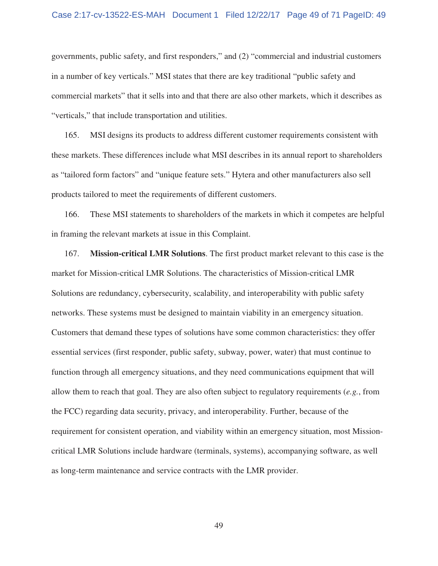#### Case 2:17-cv-13522-ES-MAH Document 1 Filed 12/22/17 Page 49 of 71 PageID: 49

governments, public safety, and first responders," and (2) "commercial and industrial customers in a number of key verticals." MSI states that there are key traditional "public safety and commercial markets" that it sells into and that there are also other markets, which it describes as "verticals," that include transportation and utilities.

165. MSI designs its products to address different customer requirements consistent with these markets. These differences include what MSI describes in its annual report to shareholders as "tailored form factors" and "unique feature sets." Hytera and other manufacturers also sell products tailored to meet the requirements of different customers.

166. These MSI statements to shareholders of the markets in which it competes are helpful in framing the relevant markets at issue in this Complaint.

167. **Mission-critical LMR Solutions**. The first product market relevant to this case is the market for Mission-critical LMR Solutions. The characteristics of Mission-critical LMR Solutions are redundancy, cybersecurity, scalability, and interoperability with public safety networks. These systems must be designed to maintain viability in an emergency situation. Customers that demand these types of solutions have some common characteristics: they offer essential services (first responder, public safety, subway, power, water) that must continue to function through all emergency situations, and they need communications equipment that will allow them to reach that goal. They are also often subject to regulatory requirements (*e.g.*, from the FCC) regarding data security, privacy, and interoperability. Further, because of the requirement for consistent operation, and viability within an emergency situation, most Missioncritical LMR Solutions include hardware (terminals, systems), accompanying software, as well as long-term maintenance and service contracts with the LMR provider.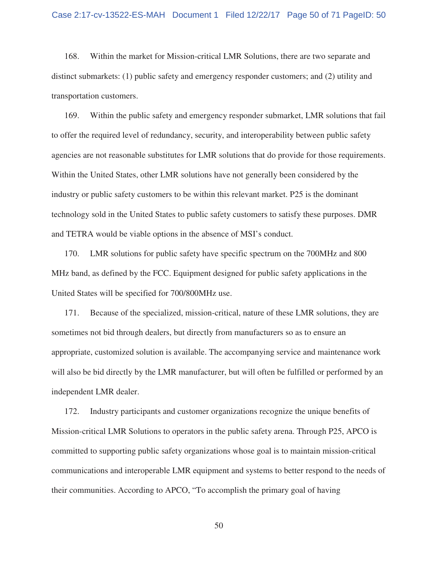168. Within the market for Mission-critical LMR Solutions, there are two separate and distinct submarkets: (1) public safety and emergency responder customers; and (2) utility and transportation customers.

169. Within the public safety and emergency responder submarket, LMR solutions that fail to offer the required level of redundancy, security, and interoperability between public safety agencies are not reasonable substitutes for LMR solutions that do provide for those requirements. Within the United States, other LMR solutions have not generally been considered by the industry or public safety customers to be within this relevant market. P25 is the dominant technology sold in the United States to public safety customers to satisfy these purposes. DMR and TETRA would be viable options in the absence of MSI's conduct.

170. LMR solutions for public safety have specific spectrum on the 700MHz and 800 MHz band, as defined by the FCC. Equipment designed for public safety applications in the United States will be specified for 700/800MHz use.

171. Because of the specialized, mission-critical, nature of these LMR solutions, they are sometimes not bid through dealers, but directly from manufacturers so as to ensure an appropriate, customized solution is available. The accompanying service and maintenance work will also be bid directly by the LMR manufacturer, but will often be fulfilled or performed by an independent LMR dealer.

172. Industry participants and customer organizations recognize the unique benefits of Mission-critical LMR Solutions to operators in the public safety arena. Through P25, APCO is committed to supporting public safety organizations whose goal is to maintain mission-critical communications and interoperable LMR equipment and systems to better respond to the needs of their communities. According to APCO, "To accomplish the primary goal of having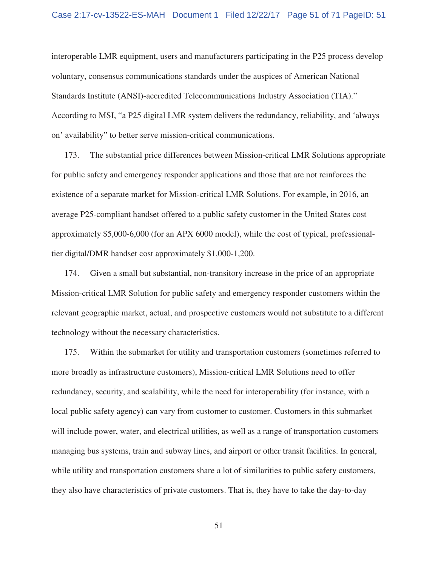interoperable LMR equipment, users and manufacturers participating in the P25 process develop voluntary, consensus communications standards under the auspices of American National Standards Institute (ANSI)-accredited Telecommunications Industry Association (TIA)." According to MSI, "a P25 digital LMR system delivers the redundancy, reliability, and 'always on' availability" to better serve mission-critical communications.

173. The substantial price differences between Mission-critical LMR Solutions appropriate for public safety and emergency responder applications and those that are not reinforces the existence of a separate market for Mission-critical LMR Solutions. For example, in 2016, an average P25-compliant handset offered to a public safety customer in the United States cost approximately \$5,000-6,000 (for an APX 6000 model), while the cost of typical, professionaltier digital/DMR handset cost approximately \$1,000-1,200.

174. Given a small but substantial, non-transitory increase in the price of an appropriate Mission-critical LMR Solution for public safety and emergency responder customers within the relevant geographic market, actual, and prospective customers would not substitute to a different technology without the necessary characteristics.

175. Within the submarket for utility and transportation customers (sometimes referred to more broadly as infrastructure customers), Mission-critical LMR Solutions need to offer redundancy, security, and scalability, while the need for interoperability (for instance, with a local public safety agency) can vary from customer to customer. Customers in this submarket will include power, water, and electrical utilities, as well as a range of transportation customers managing bus systems, train and subway lines, and airport or other transit facilities. In general, while utility and transportation customers share a lot of similarities to public safety customers, they also have characteristics of private customers. That is, they have to take the day-to-day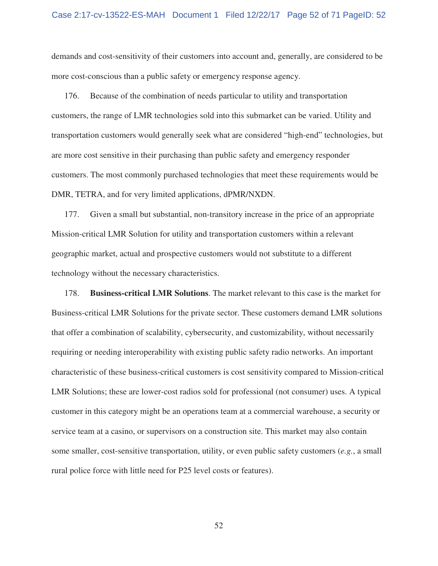demands and cost-sensitivity of their customers into account and, generally, are considered to be more cost-conscious than a public safety or emergency response agency.

176. Because of the combination of needs particular to utility and transportation customers, the range of LMR technologies sold into this submarket can be varied. Utility and transportation customers would generally seek what are considered "high-end" technologies, but are more cost sensitive in their purchasing than public safety and emergency responder customers. The most commonly purchased technologies that meet these requirements would be DMR, TETRA, and for very limited applications, dPMR/NXDN.

177. Given a small but substantial, non-transitory increase in the price of an appropriate Mission-critical LMR Solution for utility and transportation customers within a relevant geographic market, actual and prospective customers would not substitute to a different technology without the necessary characteristics.

178. **Business-critical LMR Solutions**. The market relevant to this case is the market for Business-critical LMR Solutions for the private sector. These customers demand LMR solutions that offer a combination of scalability, cybersecurity, and customizability, without necessarily requiring or needing interoperability with existing public safety radio networks. An important characteristic of these business-critical customers is cost sensitivity compared to Mission-critical LMR Solutions; these are lower-cost radios sold for professional (not consumer) uses. A typical customer in this category might be an operations team at a commercial warehouse, a security or service team at a casino, or supervisors on a construction site. This market may also contain some smaller, cost-sensitive transportation, utility, or even public safety customers (*e.g.*, a small rural police force with little need for P25 level costs or features).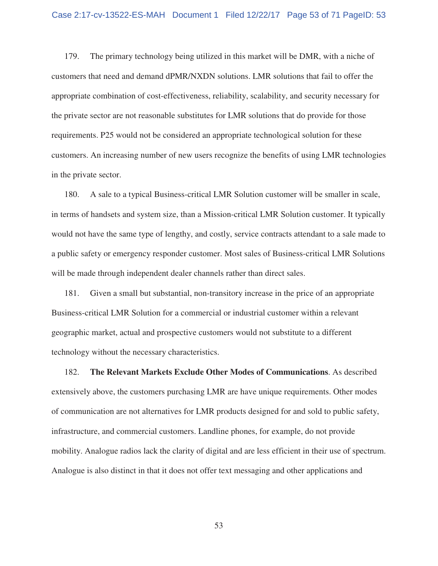179. The primary technology being utilized in this market will be DMR, with a niche of customers that need and demand dPMR/NXDN solutions. LMR solutions that fail to offer the appropriate combination of cost-effectiveness, reliability, scalability, and security necessary for the private sector are not reasonable substitutes for LMR solutions that do provide for those requirements. P25 would not be considered an appropriate technological solution for these customers. An increasing number of new users recognize the benefits of using LMR technologies in the private sector.

180. A sale to a typical Business-critical LMR Solution customer will be smaller in scale, in terms of handsets and system size, than a Mission-critical LMR Solution customer. It typically would not have the same type of lengthy, and costly, service contracts attendant to a sale made to a public safety or emergency responder customer. Most sales of Business-critical LMR Solutions will be made through independent dealer channels rather than direct sales.

181. Given a small but substantial, non-transitory increase in the price of an appropriate Business-critical LMR Solution for a commercial or industrial customer within a relevant geographic market, actual and prospective customers would not substitute to a different technology without the necessary characteristics.

182. **The Relevant Markets Exclude Other Modes of Communications**. As described extensively above, the customers purchasing LMR are have unique requirements. Other modes of communication are not alternatives for LMR products designed for and sold to public safety, infrastructure, and commercial customers. Landline phones, for example, do not provide mobility. Analogue radios lack the clarity of digital and are less efficient in their use of spectrum. Analogue is also distinct in that it does not offer text messaging and other applications and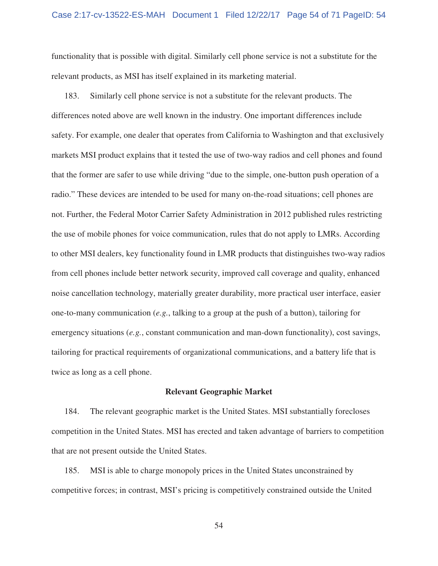functionality that is possible with digital. Similarly cell phone service is not a substitute for the relevant products, as MSI has itself explained in its marketing material.

183. Similarly cell phone service is not a substitute for the relevant products. The differences noted above are well known in the industry. One important differences include safety. For example, one dealer that operates from California to Washington and that exclusively markets MSI product explains that it tested the use of two-way radios and cell phones and found that the former are safer to use while driving "due to the simple, one-button push operation of a radio." These devices are intended to be used for many on-the-road situations; cell phones are not. Further, the Federal Motor Carrier Safety Administration in 2012 published rules restricting the use of mobile phones for voice communication, rules that do not apply to LMRs. According to other MSI dealers, key functionality found in LMR products that distinguishes two-way radios from cell phones include better network security, improved call coverage and quality, enhanced noise cancellation technology, materially greater durability, more practical user interface, easier one-to-many communication (*e.g.*, talking to a group at the push of a button), tailoring for emergency situations (*e.g.*, constant communication and man-down functionality), cost savings, tailoring for practical requirements of organizational communications, and a battery life that is twice as long as a cell phone.

#### **Relevant Geographic Market**

184. The relevant geographic market is the United States. MSI substantially forecloses competition in the United States. MSI has erected and taken advantage of barriers to competition that are not present outside the United States.

185. MSI is able to charge monopoly prices in the United States unconstrained by competitive forces; in contrast, MSI's pricing is competitively constrained outside the United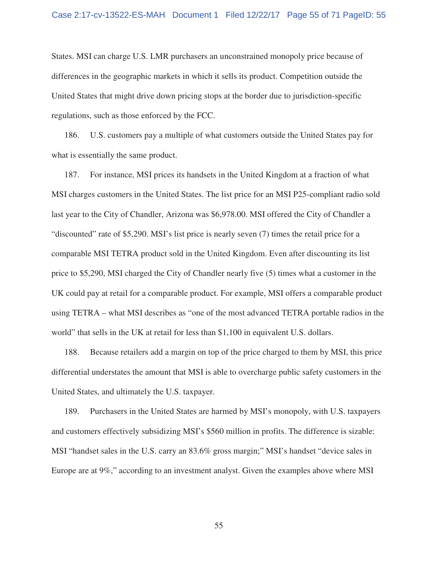States. MSI can charge U.S. LMR purchasers an unconstrained monopoly price because of differences in the geographic markets in which it sells its product. Competition outside the United States that might drive down pricing stops at the border due to jurisdiction-specific regulations, such as those enforced by the FCC.

186. U.S. customers pay a multiple of what customers outside the United States pay for what is essentially the same product.

187. For instance, MSI prices its handsets in the United Kingdom at a fraction of what MSI charges customers in the United States. The list price for an MSI P25-compliant radio sold last year to the City of Chandler, Arizona was \$6,978.00. MSI offered the City of Chandler a "discounted" rate of \$5,290. MSI's list price is nearly seven (7) times the retail price for a comparable MSI TETRA product sold in the United Kingdom. Even after discounting its list price to \$5,290, MSI charged the City of Chandler nearly five (5) times what a customer in the UK could pay at retail for a comparable product. For example, MSI offers a comparable product using TETRA – what MSI describes as "one of the most advanced TETRA portable radios in the world" that sells in the UK at retail for less than \$1,100 in equivalent U.S. dollars.

188. Because retailers add a margin on top of the price charged to them by MSI, this price differential understates the amount that MSI is able to overcharge public safety customers in the United States, and ultimately the U.S. taxpayer.

189. Purchasers in the United States are harmed by MSI's monopoly, with U.S. taxpayers and customers effectively subsidizing MSI's \$560 million in profits. The difference is sizable: MSI "handset sales in the U.S. carry an 83.6% gross margin;" MSI's handset "device sales in Europe are at 9%," according to an investment analyst. Given the examples above where MSI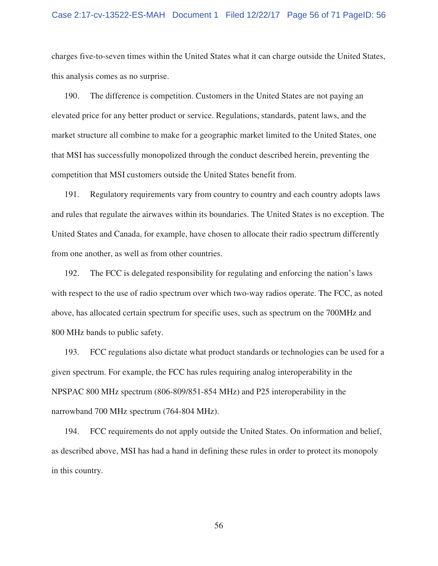## Case 2:17-cv-13522-ES-MAH Document 1 Filed 12/22/17 Page 56 of 71 PageID: 56

charges five-to-seven times within the United States what it can charge outside the United States, this analysis comes as no surprise.

190. The difference is competition. Customers in the United States are not paying an elevated price for any better product or service. Regulations, standards, patent laws, and the market structure all combine to make for a geographic market limited to the United States, one that MSI has successfully monopolized through the conduct described herein, preventing the competition that MSI customers outside the United States benefit from.

191. Regulatory requirements vary from country to country and each country adopts laws and rules that regulate the airwaves within its boundaries. The United States is no exception. The United States and Canada, for example, have chosen to allocate their radio spectrum differently from one another, as well as from other countries.

192. The FCC is delegated responsibility for regulating and enforcing the nation's laws with respect to the use of radio spectrum over which two-way radios operate. The FCC, as noted above, has allocated certain spectrum for specific uses, such as spectrum on the 700MHz and 800 MHz bands to public safety.

193. FCC regulations also dictate what product standards or technologies can be used for a given spectrum. For example, the FCC has rules requiring analog interoperability in the NPSPAC 800 MHz spectrum (806-809/851-854 MHz) and P25 interoperability in the narrowband 700 MHz spectrum (764-804 MHz).

194. FCC requirements do not apply outside the United States. On information and belief, as described above, MSI has had a hand in defining these rules in order to protect its monopoly in this country.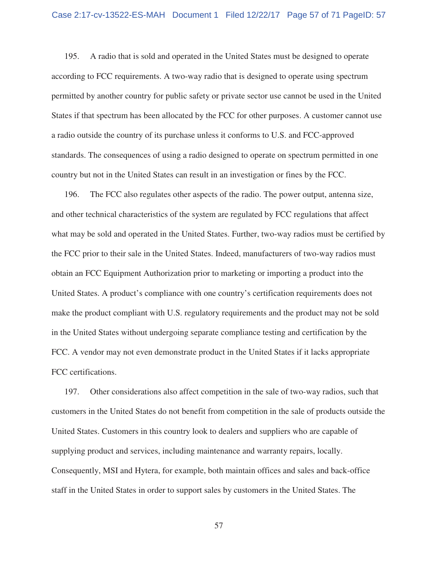195. A radio that is sold and operated in the United States must be designed to operate according to FCC requirements. A two-way radio that is designed to operate using spectrum permitted by another country for public safety or private sector use cannot be used in the United States if that spectrum has been allocated by the FCC for other purposes. A customer cannot use a radio outside the country of its purchase unless it conforms to U.S. and FCC-approved standards. The consequences of using a radio designed to operate on spectrum permitted in one country but not in the United States can result in an investigation or fines by the FCC.

196. The FCC also regulates other aspects of the radio. The power output, antenna size, and other technical characteristics of the system are regulated by FCC regulations that affect what may be sold and operated in the United States. Further, two-way radios must be certified by the FCC prior to their sale in the United States. Indeed, manufacturers of two-way radios must obtain an FCC Equipment Authorization prior to marketing or importing a product into the United States. A product's compliance with one country's certification requirements does not make the product compliant with U.S. regulatory requirements and the product may not be sold in the United States without undergoing separate compliance testing and certification by the FCC. A vendor may not even demonstrate product in the United States if it lacks appropriate FCC certifications.

197. Other considerations also affect competition in the sale of two-way radios, such that customers in the United States do not benefit from competition in the sale of products outside the United States. Customers in this country look to dealers and suppliers who are capable of supplying product and services, including maintenance and warranty repairs, locally. Consequently, MSI and Hytera, for example, both maintain offices and sales and back-office staff in the United States in order to support sales by customers in the United States. The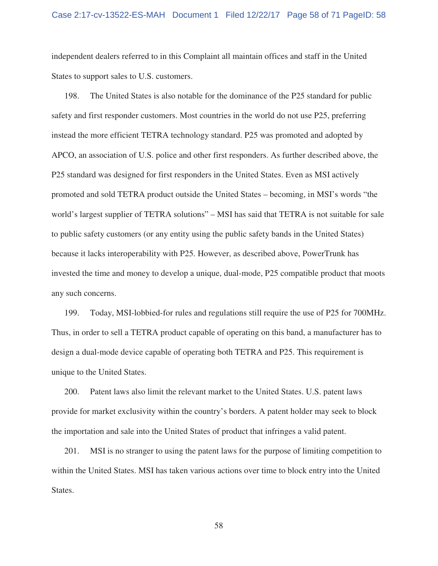independent dealers referred to in this Complaint all maintain offices and staff in the United States to support sales to U.S. customers.

198. The United States is also notable for the dominance of the P25 standard for public safety and first responder customers. Most countries in the world do not use P25, preferring instead the more efficient TETRA technology standard. P25 was promoted and adopted by APCO, an association of U.S. police and other first responders. As further described above, the P25 standard was designed for first responders in the United States. Even as MSI actively promoted and sold TETRA product outside the United States – becoming, in MSI's words "the world's largest supplier of TETRA solutions" – MSI has said that TETRA is not suitable for sale to public safety customers (or any entity using the public safety bands in the United States) because it lacks interoperability with P25. However, as described above, PowerTrunk has invested the time and money to develop a unique, dual-mode, P25 compatible product that moots any such concerns.

199. Today, MSI-lobbied-for rules and regulations still require the use of P25 for 700MHz. Thus, in order to sell a TETRA product capable of operating on this band, a manufacturer has to design a dual-mode device capable of operating both TETRA and P25. This requirement is unique to the United States.

200. Patent laws also limit the relevant market to the United States. U.S. patent laws provide for market exclusivity within the country's borders. A patent holder may seek to block the importation and sale into the United States of product that infringes a valid patent.

201. MSI is no stranger to using the patent laws for the purpose of limiting competition to within the United States. MSI has taken various actions over time to block entry into the United States.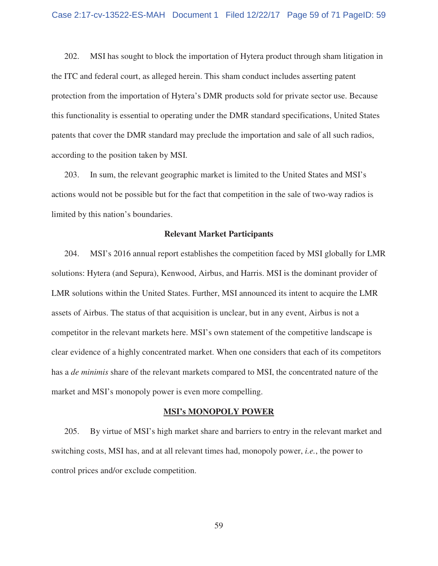202. MSI has sought to block the importation of Hytera product through sham litigation in the ITC and federal court, as alleged herein. This sham conduct includes asserting patent protection from the importation of Hytera's DMR products sold for private sector use. Because this functionality is essential to operating under the DMR standard specifications, United States patents that cover the DMR standard may preclude the importation and sale of all such radios, according to the position taken by MSI.

203. In sum, the relevant geographic market is limited to the United States and MSI's actions would not be possible but for the fact that competition in the sale of two-way radios is limited by this nation's boundaries.

#### **Relevant Market Participants**

204. MSI's 2016 annual report establishes the competition faced by MSI globally for LMR solutions: Hytera (and Sepura), Kenwood, Airbus, and Harris. MSI is the dominant provider of LMR solutions within the United States. Further, MSI announced its intent to acquire the LMR assets of Airbus. The status of that acquisition is unclear, but in any event, Airbus is not a competitor in the relevant markets here. MSI's own statement of the competitive landscape is clear evidence of a highly concentrated market. When one considers that each of its competitors has a *de minimis* share of the relevant markets compared to MSI, the concentrated nature of the market and MSI's monopoly power is even more compelling.

#### **MSI's MONOPOLY POWER**

205. By virtue of MSI's high market share and barriers to entry in the relevant market and switching costs, MSI has, and at all relevant times had, monopoly power, *i.e.*, the power to control prices and/or exclude competition.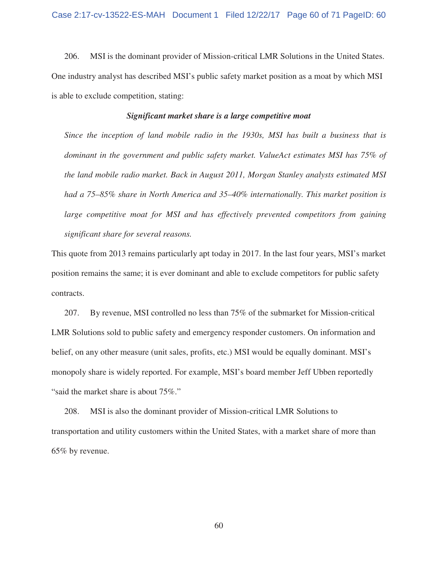206. MSI is the dominant provider of Mission-critical LMR Solutions in the United States. One industry analyst has described MSI's public safety market position as a moat by which MSI is able to exclude competition, stating:

## *Significant market share is a large competitive moat*

*Since the inception of land mobile radio in the 1930s, MSI has built a business that is dominant in the government and public safety market. ValueAct estimates MSI has 75% of the land mobile radio market. Back in August 2011, Morgan Stanley analysts estimated MSI had a 75–85% share in North America and 35–40% internationally. This market position is large competitive moat for MSI and has effectively prevented competitors from gaining significant share for several reasons.* 

This quote from 2013 remains particularly apt today in 2017. In the last four years, MSI's market position remains the same; it is ever dominant and able to exclude competitors for public safety contracts.

207. By revenue, MSI controlled no less than 75% of the submarket for Mission-critical LMR Solutions sold to public safety and emergency responder customers. On information and belief, on any other measure (unit sales, profits, etc.) MSI would be equally dominant. MSI's monopoly share is widely reported. For example, MSI's board member Jeff Ubben reportedly "said the market share is about 75%."

208. MSI is also the dominant provider of Mission-critical LMR Solutions to transportation and utility customers within the United States, with a market share of more than 65% by revenue.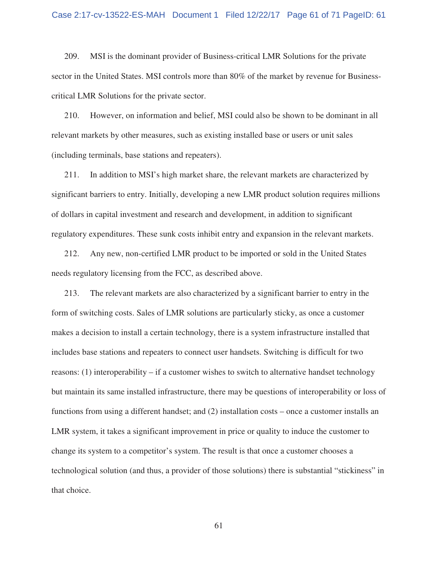209. MSI is the dominant provider of Business-critical LMR Solutions for the private sector in the United States. MSI controls more than 80% of the market by revenue for Businesscritical LMR Solutions for the private sector.

210. However, on information and belief, MSI could also be shown to be dominant in all relevant markets by other measures, such as existing installed base or users or unit sales (including terminals, base stations and repeaters).

211. In addition to MSI's high market share, the relevant markets are characterized by significant barriers to entry. Initially, developing a new LMR product solution requires millions of dollars in capital investment and research and development, in addition to significant regulatory expenditures. These sunk costs inhibit entry and expansion in the relevant markets.

212. Any new, non-certified LMR product to be imported or sold in the United States needs regulatory licensing from the FCC, as described above.

213. The relevant markets are also characterized by a significant barrier to entry in the form of switching costs. Sales of LMR solutions are particularly sticky, as once a customer makes a decision to install a certain technology, there is a system infrastructure installed that includes base stations and repeaters to connect user handsets. Switching is difficult for two reasons: (1) interoperability – if a customer wishes to switch to alternative handset technology but maintain its same installed infrastructure, there may be questions of interoperability or loss of functions from using a different handset; and (2) installation costs – once a customer installs an LMR system, it takes a significant improvement in price or quality to induce the customer to change its system to a competitor's system. The result is that once a customer chooses a technological solution (and thus, a provider of those solutions) there is substantial "stickiness" in that choice.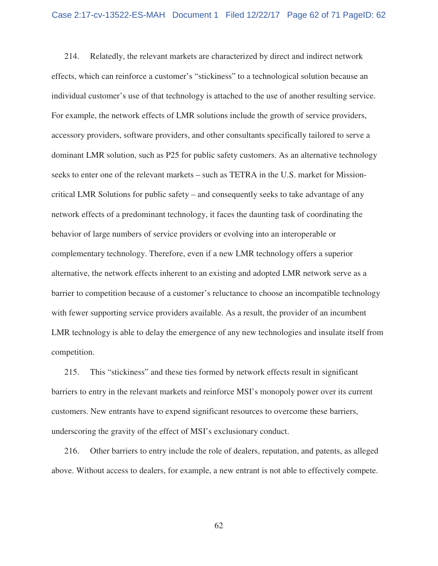214. Relatedly, the relevant markets are characterized by direct and indirect network effects, which can reinforce a customer's "stickiness" to a technological solution because an individual customer's use of that technology is attached to the use of another resulting service. For example, the network effects of LMR solutions include the growth of service providers, accessory providers, software providers, and other consultants specifically tailored to serve a dominant LMR solution, such as P25 for public safety customers. As an alternative technology seeks to enter one of the relevant markets – such as TETRA in the U.S. market for Missioncritical LMR Solutions for public safety – and consequently seeks to take advantage of any network effects of a predominant technology, it faces the daunting task of coordinating the behavior of large numbers of service providers or evolving into an interoperable or complementary technology. Therefore, even if a new LMR technology offers a superior alternative, the network effects inherent to an existing and adopted LMR network serve as a barrier to competition because of a customer's reluctance to choose an incompatible technology with fewer supporting service providers available. As a result, the provider of an incumbent LMR technology is able to delay the emergence of any new technologies and insulate itself from competition.

215. This "stickiness" and these ties formed by network effects result in significant barriers to entry in the relevant markets and reinforce MSI's monopoly power over its current customers. New entrants have to expend significant resources to overcome these barriers, underscoring the gravity of the effect of MSI's exclusionary conduct.

216. Other barriers to entry include the role of dealers, reputation, and patents, as alleged above. Without access to dealers, for example, a new entrant is not able to effectively compete.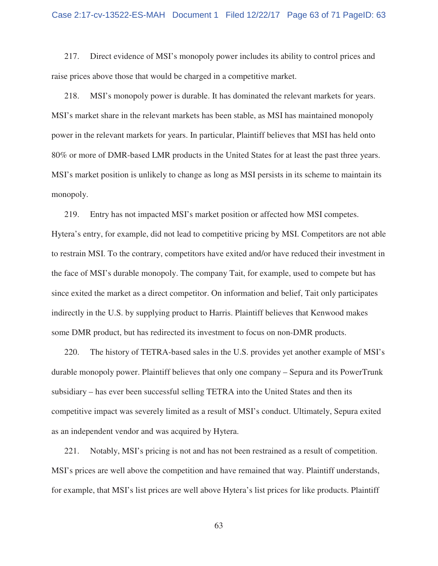217. Direct evidence of MSI's monopoly power includes its ability to control prices and raise prices above those that would be charged in a competitive market.

218. MSI's monopoly power is durable. It has dominated the relevant markets for years. MSI's market share in the relevant markets has been stable, as MSI has maintained monopoly power in the relevant markets for years. In particular, Plaintiff believes that MSI has held onto 80% or more of DMR-based LMR products in the United States for at least the past three years. MSI's market position is unlikely to change as long as MSI persists in its scheme to maintain its monopoly.

219. Entry has not impacted MSI's market position or affected how MSI competes. Hytera's entry, for example, did not lead to competitive pricing by MSI. Competitors are not able to restrain MSI. To the contrary, competitors have exited and/or have reduced their investment in the face of MSI's durable monopoly. The company Tait, for example, used to compete but has since exited the market as a direct competitor. On information and belief, Tait only participates indirectly in the U.S. by supplying product to Harris. Plaintiff believes that Kenwood makes some DMR product, but has redirected its investment to focus on non-DMR products.

220. The history of TETRA-based sales in the U.S. provides yet another example of MSI's durable monopoly power. Plaintiff believes that only one company – Sepura and its PowerTrunk subsidiary – has ever been successful selling TETRA into the United States and then its competitive impact was severely limited as a result of MSI's conduct. Ultimately, Sepura exited as an independent vendor and was acquired by Hytera.

221. Notably, MSI's pricing is not and has not been restrained as a result of competition. MSI's prices are well above the competition and have remained that way. Plaintiff understands, for example, that MSI's list prices are well above Hytera's list prices for like products. Plaintiff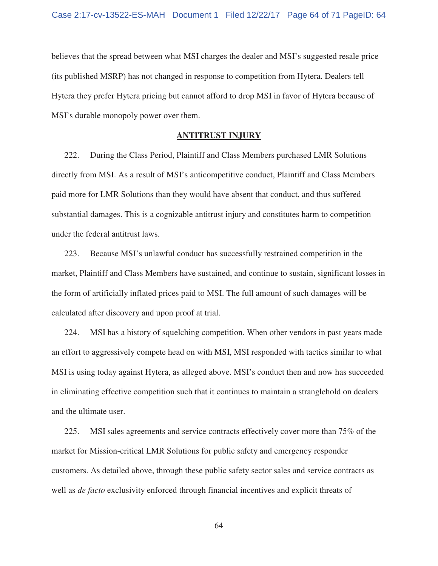believes that the spread between what MSI charges the dealer and MSI's suggested resale price (its published MSRP) has not changed in response to competition from Hytera. Dealers tell Hytera they prefer Hytera pricing but cannot afford to drop MSI in favor of Hytera because of MSI's durable monopoly power over them.

## **ANTITRUST INJURY**

222. During the Class Period, Plaintiff and Class Members purchased LMR Solutions directly from MSI. As a result of MSI's anticompetitive conduct, Plaintiff and Class Members paid more for LMR Solutions than they would have absent that conduct, and thus suffered substantial damages. This is a cognizable antitrust injury and constitutes harm to competition under the federal antitrust laws.

223. Because MSI's unlawful conduct has successfully restrained competition in the market, Plaintiff and Class Members have sustained, and continue to sustain, significant losses in the form of artificially inflated prices paid to MSI. The full amount of such damages will be calculated after discovery and upon proof at trial.

224. MSI has a history of squelching competition. When other vendors in past years made an effort to aggressively compete head on with MSI, MSI responded with tactics similar to what MSI is using today against Hytera, as alleged above. MSI's conduct then and now has succeeded in eliminating effective competition such that it continues to maintain a stranglehold on dealers and the ultimate user.

225. MSI sales agreements and service contracts effectively cover more than 75% of the market for Mission-critical LMR Solutions for public safety and emergency responder customers. As detailed above, through these public safety sector sales and service contracts as well as *de facto* exclusivity enforced through financial incentives and explicit threats of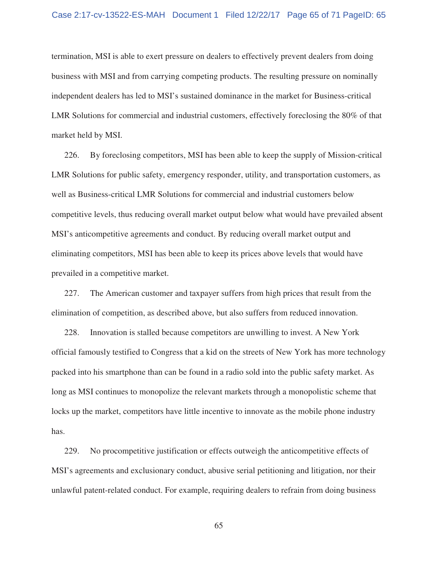termination, MSI is able to exert pressure on dealers to effectively prevent dealers from doing business with MSI and from carrying competing products. The resulting pressure on nominally independent dealers has led to MSI's sustained dominance in the market for Business-critical LMR Solutions for commercial and industrial customers, effectively foreclosing the 80% of that market held by MSI.

226. By foreclosing competitors, MSI has been able to keep the supply of Mission-critical LMR Solutions for public safety, emergency responder, utility, and transportation customers, as well as Business-critical LMR Solutions for commercial and industrial customers below competitive levels, thus reducing overall market output below what would have prevailed absent MSI's anticompetitive agreements and conduct. By reducing overall market output and eliminating competitors, MSI has been able to keep its prices above levels that would have prevailed in a competitive market.

227. The American customer and taxpayer suffers from high prices that result from the elimination of competition, as described above, but also suffers from reduced innovation.

228. Innovation is stalled because competitors are unwilling to invest. A New York official famously testified to Congress that a kid on the streets of New York has more technology packed into his smartphone than can be found in a radio sold into the public safety market. As long as MSI continues to monopolize the relevant markets through a monopolistic scheme that locks up the market, competitors have little incentive to innovate as the mobile phone industry has.

229. No procompetitive justification or effects outweigh the anticompetitive effects of MSI's agreements and exclusionary conduct, abusive serial petitioning and litigation, nor their unlawful patent-related conduct. For example, requiring dealers to refrain from doing business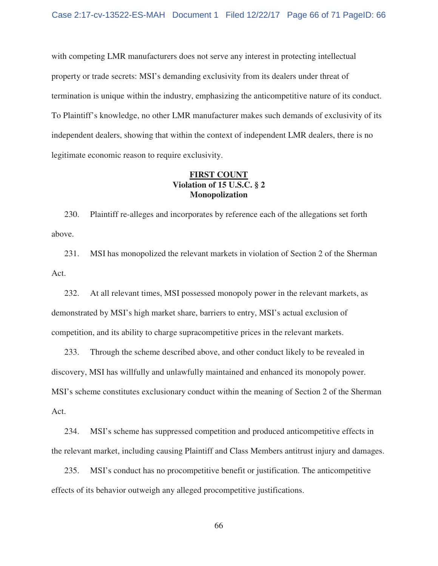with competing LMR manufacturers does not serve any interest in protecting intellectual property or trade secrets: MSI's demanding exclusivity from its dealers under threat of termination is unique within the industry, emphasizing the anticompetitive nature of its conduct. To Plaintiff's knowledge, no other LMR manufacturer makes such demands of exclusivity of its independent dealers, showing that within the context of independent LMR dealers, there is no legitimate economic reason to require exclusivity.

## **FIRST COUNT Violation of 15 U.S.C. § 2 Monopolization**

230. Plaintiff re-alleges and incorporates by reference each of the allegations set forth above.

231. MSI has monopolized the relevant markets in violation of Section 2 of the Sherman Act.

232. At all relevant times, MSI possessed monopoly power in the relevant markets, as demonstrated by MSI's high market share, barriers to entry, MSI's actual exclusion of competition, and its ability to charge supracompetitive prices in the relevant markets.

233. Through the scheme described above, and other conduct likely to be revealed in discovery, MSI has willfully and unlawfully maintained and enhanced its monopoly power. MSI's scheme constitutes exclusionary conduct within the meaning of Section 2 of the Sherman Act.

234. MSI's scheme has suppressed competition and produced anticompetitive effects in the relevant market, including causing Plaintiff and Class Members antitrust injury and damages.

235. MSI's conduct has no procompetitive benefit or justification. The anticompetitive effects of its behavior outweigh any alleged procompetitive justifications.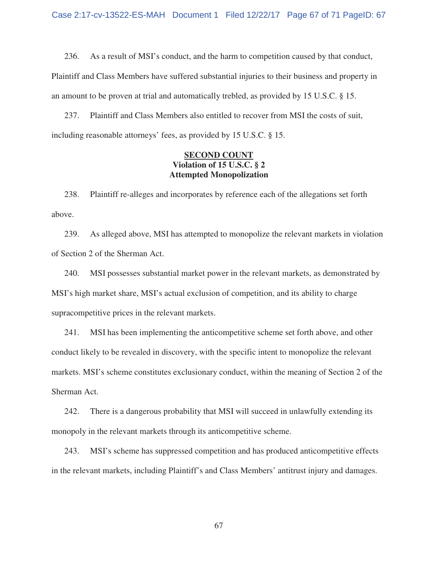236. As a result of MSI's conduct, and the harm to competition caused by that conduct,

Plaintiff and Class Members have suffered substantial injuries to their business and property in an amount to be proven at trial and automatically trebled, as provided by 15 U.S.C. § 15.

237. Plaintiff and Class Members also entitled to recover from MSI the costs of suit, including reasonable attorneys' fees, as provided by 15 U.S.C. § 15.

# **SECOND COUNT Violation of 15 U.S.C. § 2 Attempted Monopolization**

238. Plaintiff re-alleges and incorporates by reference each of the allegations set forth above.

239. As alleged above, MSI has attempted to monopolize the relevant markets in violation of Section 2 of the Sherman Act.

240. MSI possesses substantial market power in the relevant markets, as demonstrated by MSI's high market share, MSI's actual exclusion of competition, and its ability to charge supracompetitive prices in the relevant markets.

241. MSI has been implementing the anticompetitive scheme set forth above, and other conduct likely to be revealed in discovery, with the specific intent to monopolize the relevant markets. MSI's scheme constitutes exclusionary conduct, within the meaning of Section 2 of the Sherman Act.

242. There is a dangerous probability that MSI will succeed in unlawfully extending its monopoly in the relevant markets through its anticompetitive scheme.

243. MSI's scheme has suppressed competition and has produced anticompetitive effects in the relevant markets, including Plaintiff's and Class Members' antitrust injury and damages.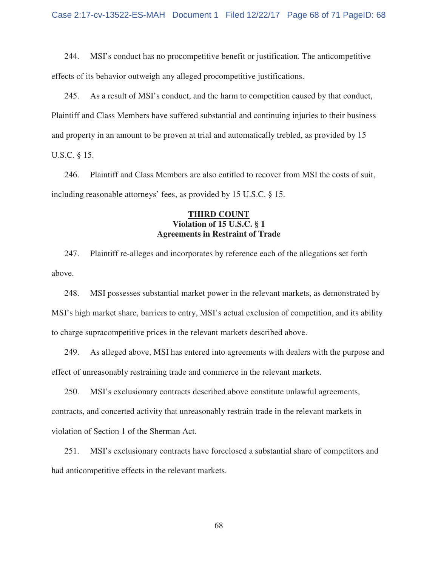244. MSI's conduct has no procompetitive benefit or justification. The anticompetitive effects of its behavior outweigh any alleged procompetitive justifications.

245. As a result of MSI's conduct, and the harm to competition caused by that conduct, Plaintiff and Class Members have suffered substantial and continuing injuries to their business and property in an amount to be proven at trial and automatically trebled, as provided by 15 U.S.C. § 15.

246. Plaintiff and Class Members are also entitled to recover from MSI the costs of suit, including reasonable attorneys' fees, as provided by 15 U.S.C. § 15.

## **THIRD COUNT Violation of 15 U.S.C. § 1 Agreements in Restraint of Trade**

247. Plaintiff re-alleges and incorporates by reference each of the allegations set forth above.

248. MSI possesses substantial market power in the relevant markets, as demonstrated by MSI's high market share, barriers to entry, MSI's actual exclusion of competition, and its ability to charge supracompetitive prices in the relevant markets described above.

249. As alleged above, MSI has entered into agreements with dealers with the purpose and effect of unreasonably restraining trade and commerce in the relevant markets.

250. MSI's exclusionary contracts described above constitute unlawful agreements, contracts, and concerted activity that unreasonably restrain trade in the relevant markets in violation of Section 1 of the Sherman Act.

251. MSI's exclusionary contracts have foreclosed a substantial share of competitors and had anticompetitive effects in the relevant markets.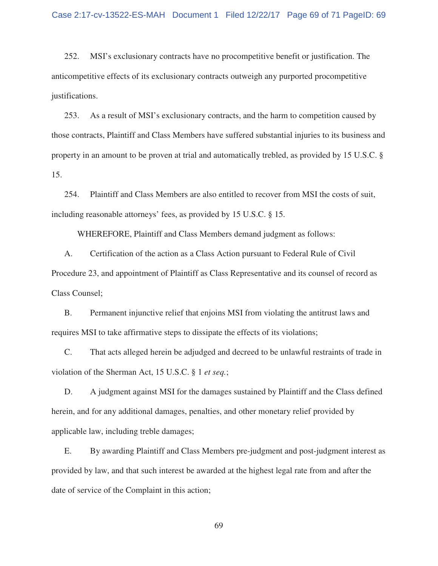252. MSI's exclusionary contracts have no procompetitive benefit or justification. The anticompetitive effects of its exclusionary contracts outweigh any purported procompetitive justifications.

253. As a result of MSI's exclusionary contracts, and the harm to competition caused by those contracts, Plaintiff and Class Members have suffered substantial injuries to its business and property in an amount to be proven at trial and automatically trebled, as provided by 15 U.S.C. § 15.

254. Plaintiff and Class Members are also entitled to recover from MSI the costs of suit, including reasonable attorneys' fees, as provided by 15 U.S.C. § 15.

WHEREFORE, Plaintiff and Class Members demand judgment as follows:

A. Certification of the action as a Class Action pursuant to Federal Rule of Civil Procedure 23, and appointment of Plaintiff as Class Representative and its counsel of record as Class Counsel;

B. Permanent injunctive relief that enjoins MSI from violating the antitrust laws and requires MSI to take affirmative steps to dissipate the effects of its violations;

C. That acts alleged herein be adjudged and decreed to be unlawful restraints of trade in violation of the Sherman Act, 15 U.S.C. § 1 *et seq.*;

D. A judgment against MSI for the damages sustained by Plaintiff and the Class defined herein, and for any additional damages, penalties, and other monetary relief provided by applicable law, including treble damages;

E. By awarding Plaintiff and Class Members pre-judgment and post-judgment interest as provided by law, and that such interest be awarded at the highest legal rate from and after the date of service of the Complaint in this action;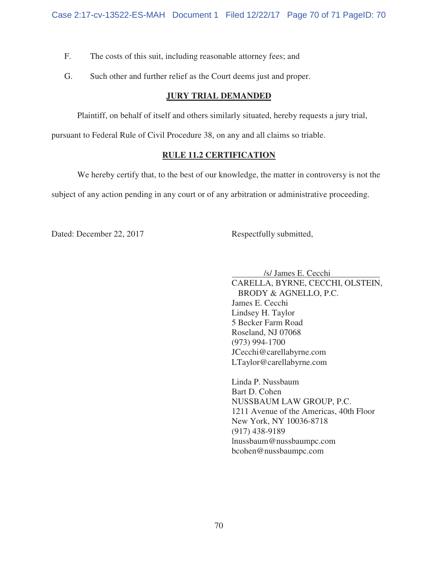- F. The costs of this suit, including reasonable attorney fees; and
- G. Such other and further relief as the Court deems just and proper.

# **JURY TRIAL DEMANDED**

Plaintiff, on behalf of itself and others similarly situated, hereby requests a jury trial,

pursuant to Federal Rule of Civil Procedure 38, on any and all claims so triable.

# **RULE 11.2 CERTIFICATION**

We hereby certify that, to the best of our knowledge, the matter in controversy is not the subject of any action pending in any court or of any arbitration or administrative proceeding.

Dated: December 22, 2017 Respectfully submitted,

/s/ James E. Cecchi .

 CARELLA, BYRNE, CECCHI, OLSTEIN, BRODY & AGNELLO, P.C. James E. Cecchi Lindsey H. Taylor 5 Becker Farm Road Roseland, NJ 07068 (973) 994-1700 JCecchi@carellabyrne.com LTaylor@carellabyrne.com

 Linda P. Nussbaum Bart D. Cohen NUSSBAUM LAW GROUP, P.C. 1211 Avenue of the Americas, 40th Floor New York, NY 10036-8718 (917) 438-9189 lnussbaum@nussbaumpc.com bcohen@nussbaumpc.com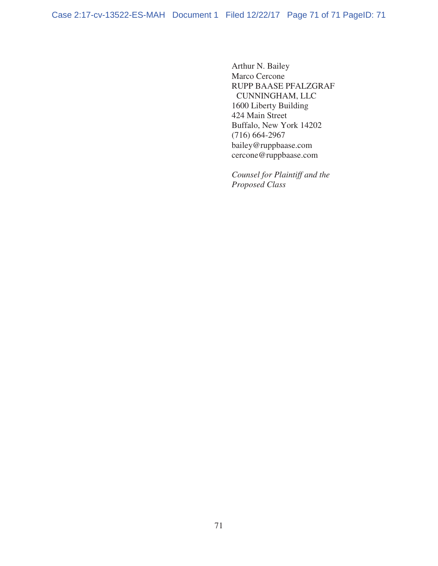Arthur N. Bailey Marco Cercone RUPP BAASE PFALZGRAF CUNNINGHAM, LLC 1600 Liberty Building 424 Main Street Buffalo, New York 14202 (716) 664-2967 bailey@ruppbaase.com cercone@ruppbaase.com

 *Counsel for Plaintiff and the Proposed Class*